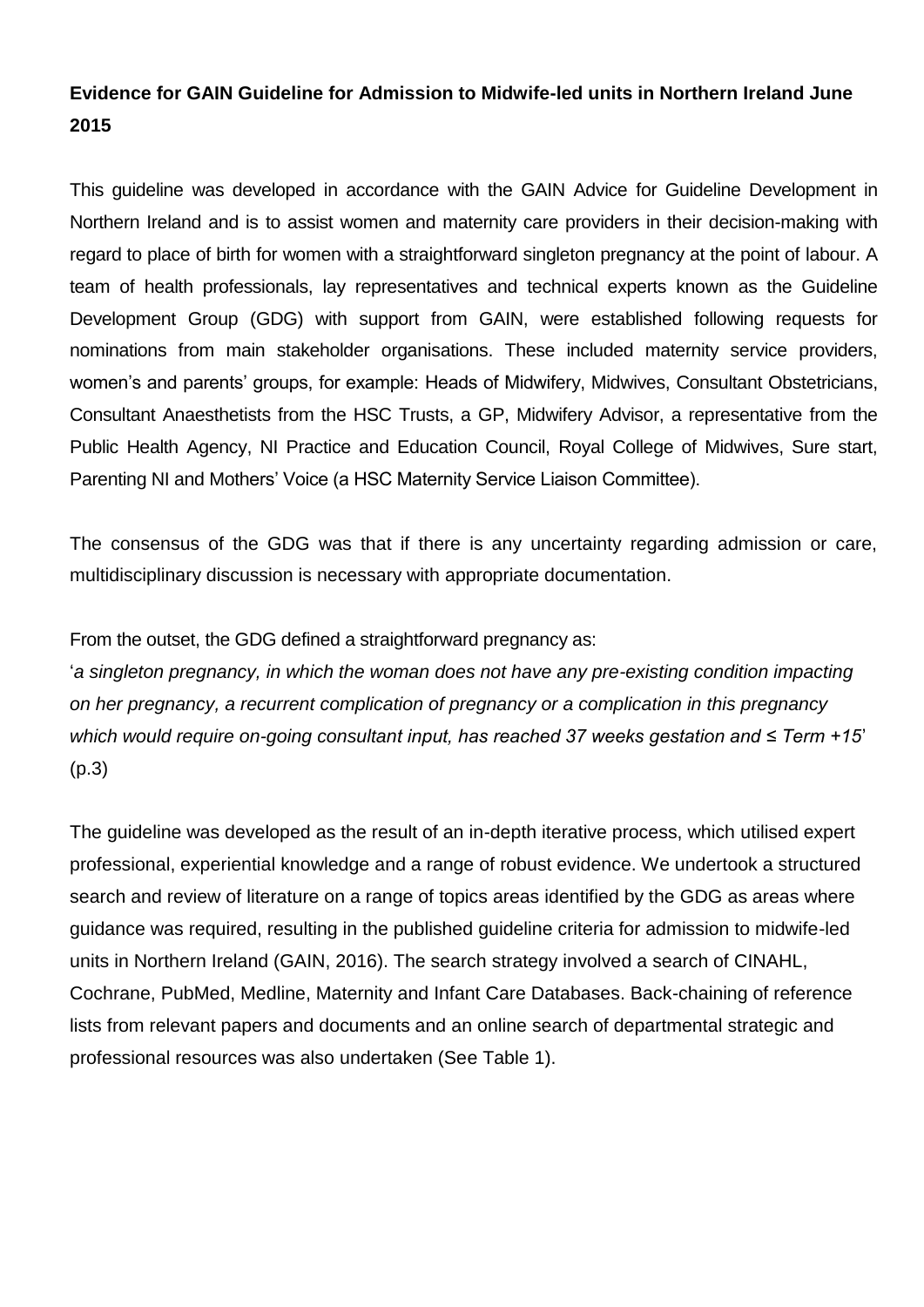### **Evidence for GAIN Guideline for Admission to Midwife-led units in Northern Ireland June 2015**

This guideline was developed in accordance with the GAIN Advice for Guideline Development in Northern Ireland and is to assist women and maternity care providers in their decision-making with regard to place of birth for women with a straightforward singleton pregnancy at the point of labour. A team of health professionals, lay representatives and technical experts known as the Guideline Development Group (GDG) with support from GAIN, were established following requests for nominations from main stakeholder organisations. These included maternity service providers, women's and parents' groups, for example: Heads of Midwifery, Midwives, Consultant Obstetricians, Consultant Anaesthetists from the HSC Trusts, a GP, Midwifery Advisor, a representative from the Public Health Agency, NI Practice and Education Council, Royal College of Midwives, Sure start, Parenting NI and Mothers' Voice (a HSC Maternity Service Liaison Committee).

The consensus of the GDG was that if there is any uncertainty regarding admission or care, multidisciplinary discussion is necessary with appropriate documentation.

From the outset, the GDG defined a straightforward pregnancy as:

'*a singleton pregnancy, in which the woman does not have any pre-existing condition impacting on her pregnancy, a recurrent complication of pregnancy or a complication in this pregnancy which would require on-going consultant input, has reached 37 weeks gestation and ≤ Term +15*' (p.3)

The guideline was developed as the result of an in-depth iterative process, which utilised expert professional, experiential knowledge and a range of robust evidence. We undertook a structured search and review of literature on a range of topics areas identified by the GDG as areas where guidance was required, resulting in the published guideline criteria for admission to midwife-led units in Northern Ireland (GAIN, 2016). The search strategy involved a search of CINAHL, Cochrane, PubMed, Medline, Maternity and Infant Care Databases. Back-chaining of reference lists from relevant papers and documents and an online search of departmental strategic and professional resources was also undertaken (See Table 1).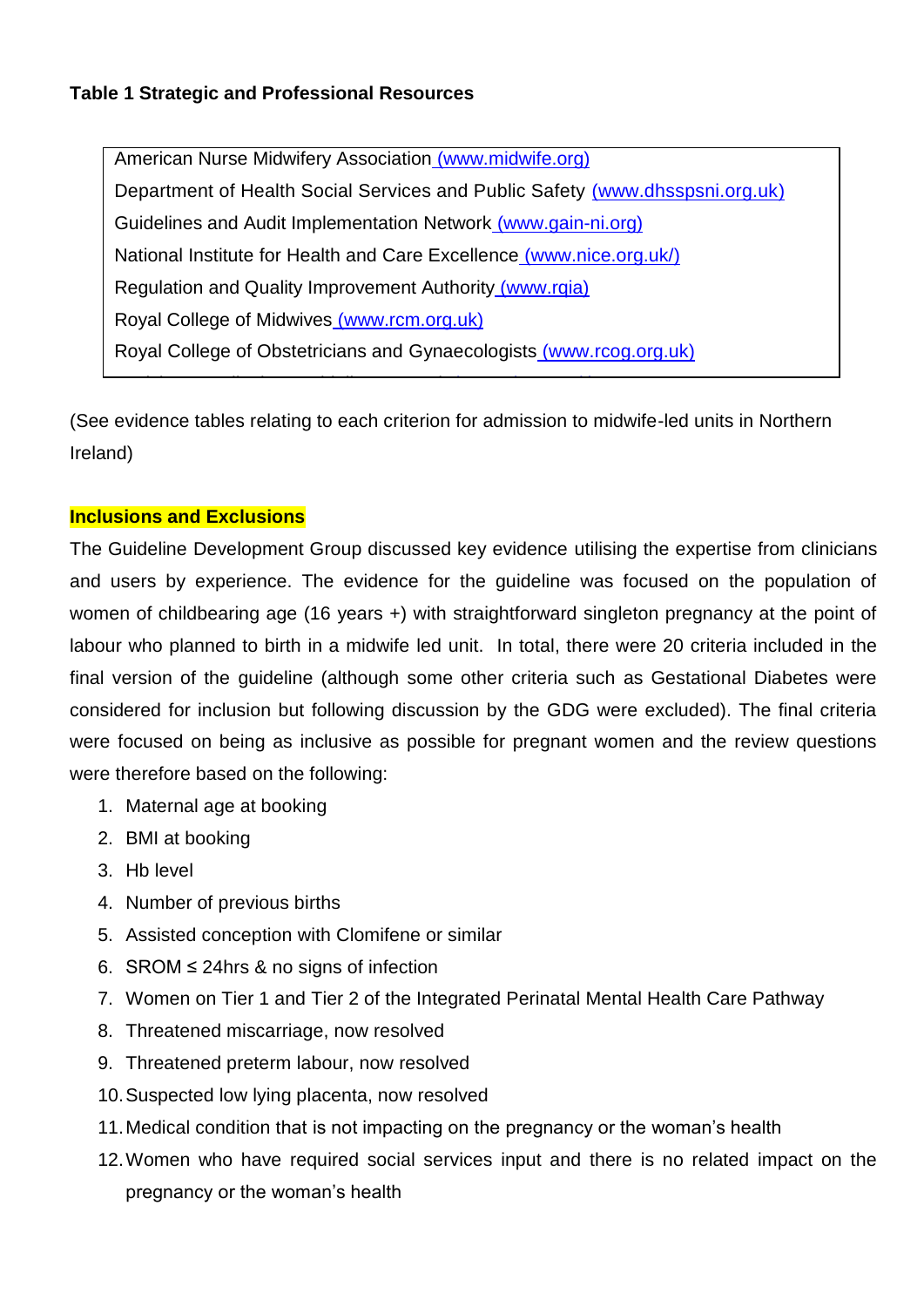### **Table 1 Strategic and Professional Resources**

American Nurse Midwifery Association [\(www.midwife.org\)](http://www.midwife.org/) Department of Health Social Services and Public Safety [\(www.dhsspsni.org.uk\)](http://www.dhsspsni.org.uk/) Guidelines and Audit Implementation Network [\(www.gain-ni.org\)](http://www.gain-ni.org/) National Institute for Health and Care Excellence [\(www.nice.org.uk/\)](http://www.nice.org.uk/)) Regulation and Quality Improvement Authority (www.rqia) Royal College of Midwives [\(www.rcm.org.uk\)](http://www.rcm.org.uk/) Royal College of Obstetricians and Gynaecologists [\(www.rcog.org.uk\)](http://www.rcog.org.uk/)

(See evidence tables relating to each criterion for admission to midwife-led units in Northern Ireland)

Scottish Intercollegiate Guideline Network [\(www.sign.ac.uk\)](http://www.sign.ac.uk/)

#### **Inclusions and Exclusions**

The Guideline Development Group discussed key evidence utilising the expertise from clinicians and users by experience. The evidence for the guideline was focused on the population of women of childbearing age (16 years +) with straightforward singleton pregnancy at the point of labour who planned to birth in a midwife led unit. In total, there were 20 criteria included in the final version of the guideline (although some other criteria such as Gestational Diabetes were considered for inclusion but following discussion by the GDG were excluded). The final criteria were focused on being as inclusive as possible for pregnant women and the review questions were therefore based on the following:

- 1. Maternal age at booking
- 2. BMI at booking
- 3. Hb level
- 4. Number of previous births
- 5. Assisted conception with Clomifene or similar
- 6. SROM ≤ 24hrs & no signs of infection
- 7. Women on Tier 1 and Tier 2 of the Integrated Perinatal Mental Health Care Pathway
- 8. Threatened miscarriage, now resolved
- 9. Threatened preterm labour, now resolved
- 10.Suspected low lying placenta, now resolved
- 11.Medical condition that is not impacting on the pregnancy or the woman's health
- 12.Women who have required social services input and there is no related impact on the pregnancy or the woman's health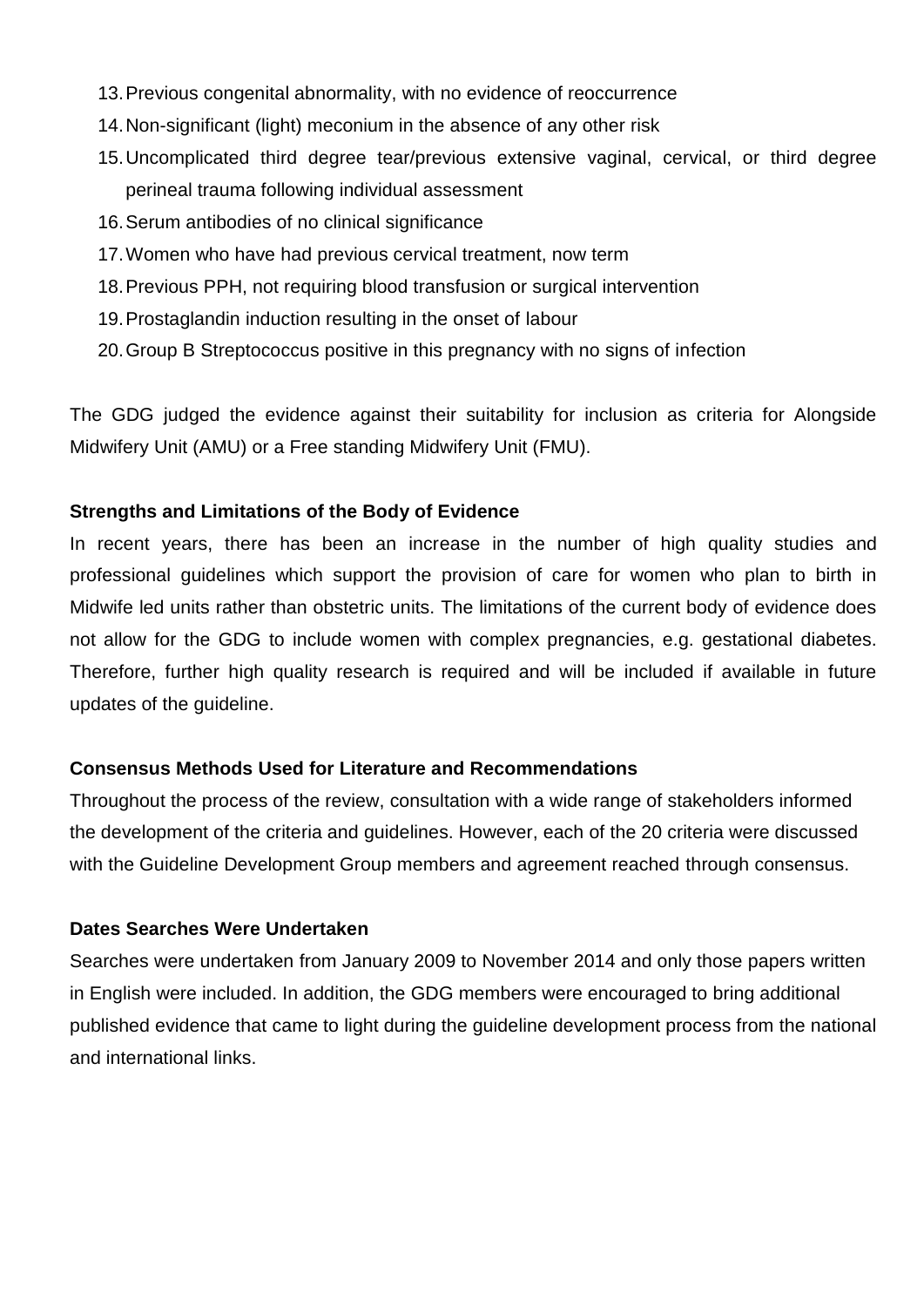- 13.Previous congenital abnormality, with no evidence of reoccurrence
- 14.Non-significant (light) meconium in the absence of any other risk
- 15.Uncomplicated third degree tear/previous extensive vaginal, cervical, or third degree perineal trauma following individual assessment
- 16.Serum antibodies of no clinical significance
- 17.Women who have had previous cervical treatment, now term
- 18.Previous PPH, not requiring blood transfusion or surgical intervention
- 19.Prostaglandin induction resulting in the onset of labour
- 20.Group B Streptococcus positive in this pregnancy with no signs of infection

The GDG judged the evidence against their suitability for inclusion as criteria for Alongside Midwifery Unit (AMU) or a Free standing Midwifery Unit (FMU).

#### **Strengths and Limitations of the Body of Evidence**

In recent years, there has been an increase in the number of high quality studies and professional guidelines which support the provision of care for women who plan to birth in Midwife led units rather than obstetric units. The limitations of the current body of evidence does not allow for the GDG to include women with complex pregnancies, e.g. gestational diabetes. Therefore, further high quality research is required and will be included if available in future updates of the guideline.

#### **Consensus Methods Used for Literature and Recommendations**

Throughout the process of the review, consultation with a wide range of stakeholders informed the development of the criteria and guidelines. However, each of the 20 criteria were discussed with the Guideline Development Group members and agreement reached through consensus.

#### **Dates Searches Were Undertaken**

Searches were undertaken from January 2009 to November 2014 and only those papers written in English were included. In addition, the GDG members were encouraged to bring additional published evidence that came to light during the guideline development process from the national and international links.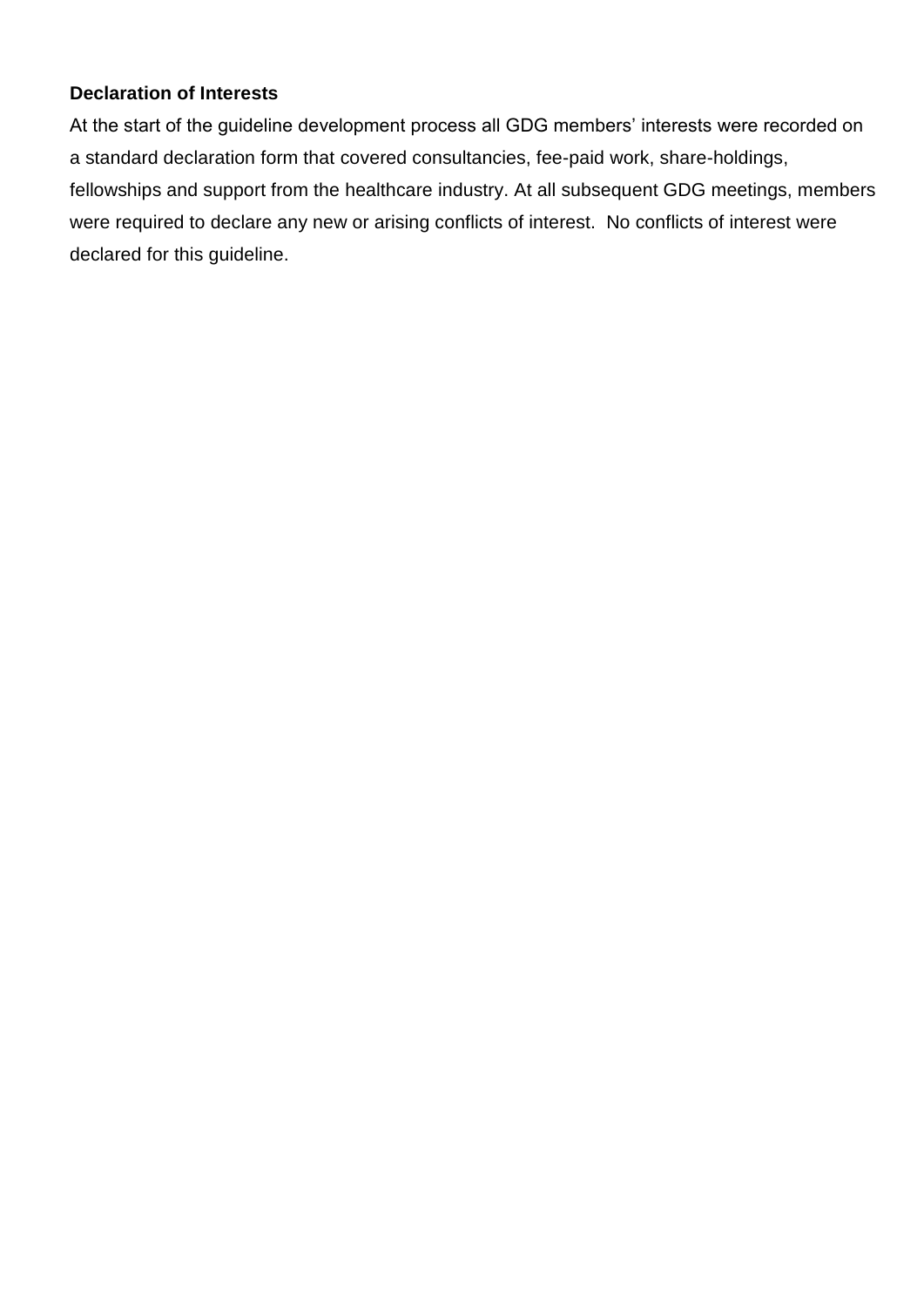### **Declaration of Interests**

At the start of the guideline development process all GDG members' interests were recorded on a standard declaration form that covered consultancies, fee-paid work, share-holdings, fellowships and support from the healthcare industry. At all subsequent GDG meetings, members were required to declare any new or arising conflicts of interest. No conflicts of interest were declared for this guideline.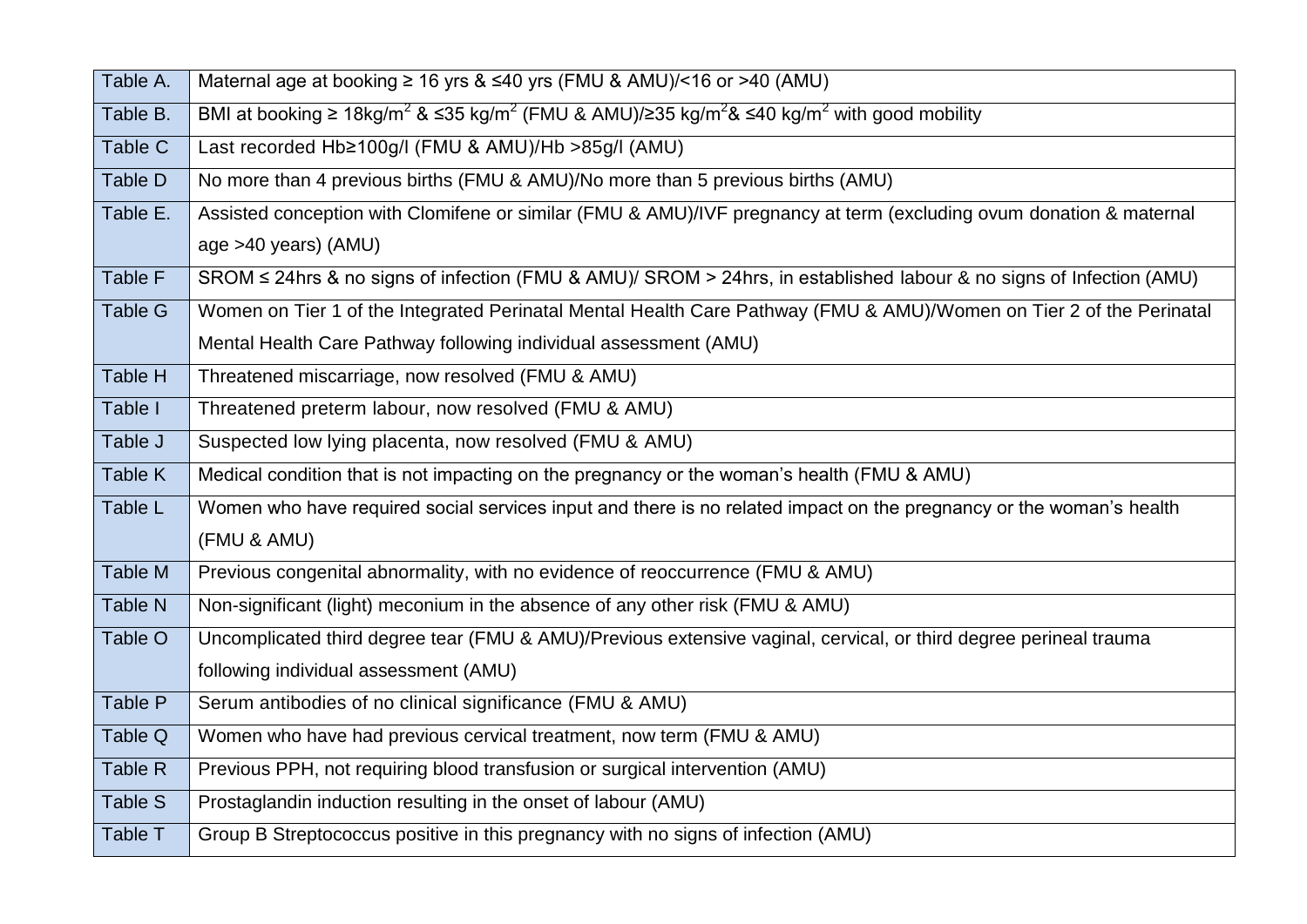| Table A.       | Maternal age at booking $\geq 16$ yrs & $\leq 40$ yrs (FMU & AMU)/<16 or >40 (AMU)                                                              |
|----------------|-------------------------------------------------------------------------------------------------------------------------------------------------|
| Table B.       | BMI at booking $\geq 18$ kg/m <sup>2</sup> & ≤35 kg/m <sup>2</sup> (FMU & AMU)/≥35 kg/m <sup>2</sup> & ≤40 kg/m <sup>2</sup> with good mobility |
| Table C        | Last recorded Hb≥100g/I (FMU & AMU)/Hb >85g/I (AMU)                                                                                             |
| Table D        | No more than 4 previous births (FMU & AMU)/No more than 5 previous births (AMU)                                                                 |
| Table E.       | Assisted conception with Clomifene or similar (FMU & AMU)/IVF pregnancy at term (excluding ovum donation & maternal                             |
|                | age >40 years) (AMU)                                                                                                                            |
| Table F        | SROM ≤ 24hrs & no signs of infection (FMU & AMU)/ SROM > 24hrs, in established labour & no signs of Infection (AMU)                             |
| <b>Table G</b> | Women on Tier 1 of the Integrated Perinatal Mental Health Care Pathway (FMU & AMU)/Women on Tier 2 of the Perinatal                             |
|                | Mental Health Care Pathway following individual assessment (AMU)                                                                                |
| Table H        | Threatened miscarriage, now resolved (FMU & AMU)                                                                                                |
| Table I        | Threatened preterm labour, now resolved (FMU & AMU)                                                                                             |
| Table J        | Suspected low lying placenta, now resolved (FMU & AMU)                                                                                          |
| Table K        | Medical condition that is not impacting on the pregnancy or the woman's health (FMU & AMU)                                                      |
| Table L        | Women who have required social services input and there is no related impact on the pregnancy or the woman's health                             |
|                | (FMU & AMU)                                                                                                                                     |
| Table M        | Previous congenital abnormality, with no evidence of reoccurrence (FMU & AMU)                                                                   |
| Table N        | Non-significant (light) meconium in the absence of any other risk (FMU & AMU)                                                                   |
| Table O        | Uncomplicated third degree tear (FMU & AMU)/Previous extensive vaginal, cervical, or third degree perineal trauma                               |
|                | following individual assessment (AMU)                                                                                                           |
| Table P        | Serum antibodies of no clinical significance (FMU & AMU)                                                                                        |
| Table Q        | Women who have had previous cervical treatment, now term (FMU & AMU)                                                                            |
| Table R        | Previous PPH, not requiring blood transfusion or surgical intervention (AMU)                                                                    |
| Table S        | Prostaglandin induction resulting in the onset of labour (AMU)                                                                                  |
| Table T        | Group B Streptococcus positive in this pregnancy with no signs of infection (AMU)                                                               |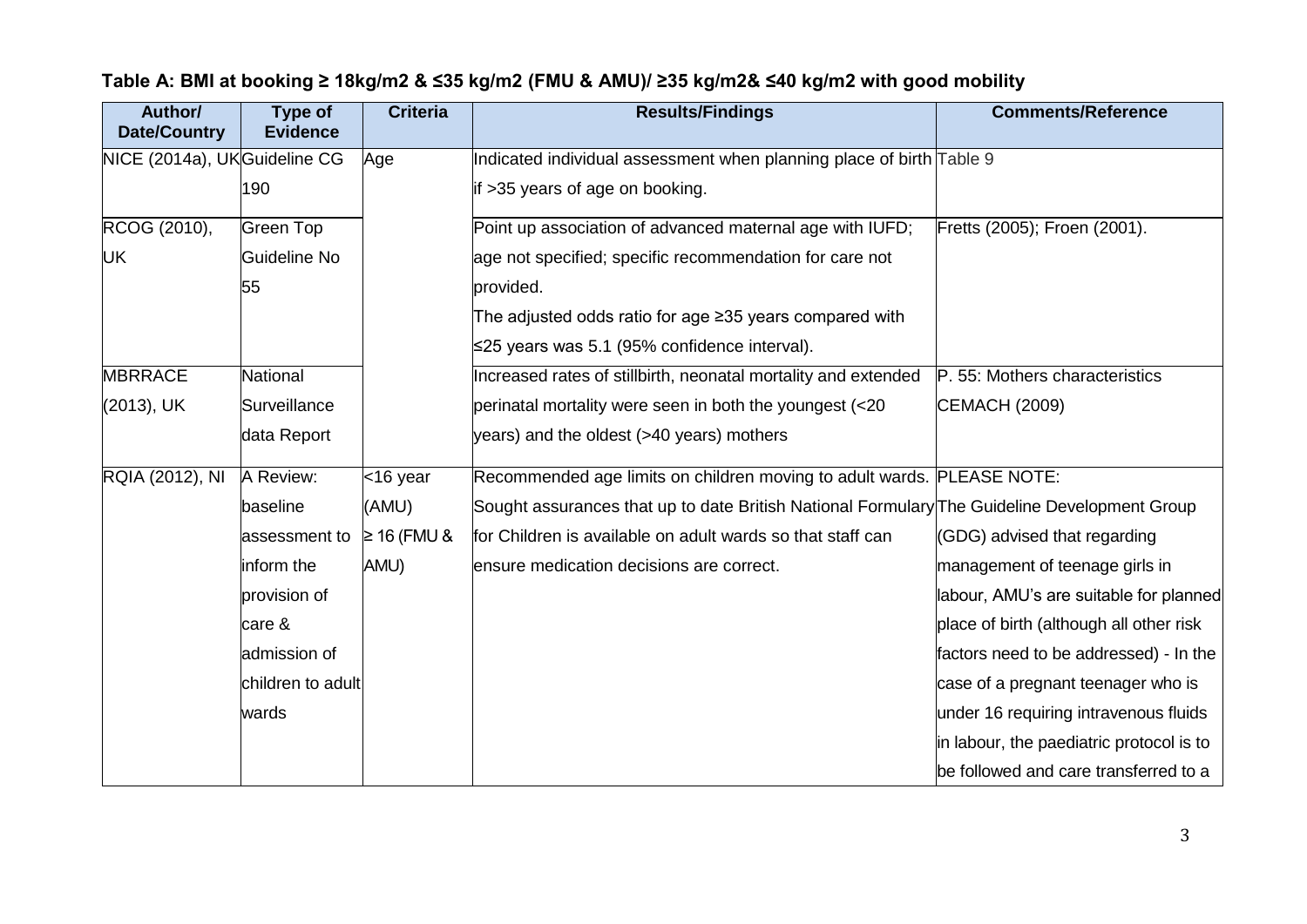| Author/<br><b>Date/Country</b> | Type of<br><b>Evidence</b> | <b>Criteria</b> | <b>Results/Findings</b>                                                                      | <b>Comments/Reference</b>                |
|--------------------------------|----------------------------|-----------------|----------------------------------------------------------------------------------------------|------------------------------------------|
| NICE (2014a), UKGuideline CG   |                            | Age             | Indicated individual assessment when planning place of birth Table 9                         |                                          |
|                                | 190                        |                 | if >35 years of age on booking.                                                              |                                          |
| RCOG (2010),                   | Green Top                  |                 | Point up association of advanced maternal age with IUFD;                                     | Fretts (2005); Froen (2001).             |
| UK                             | Guideline No               |                 | age not specified; specific recommendation for care not                                      |                                          |
|                                | 55                         |                 | provided.                                                                                    |                                          |
|                                |                            |                 | The adjusted odds ratio for age $\geq$ 35 years compared with                                |                                          |
|                                |                            |                 | ≤25 years was 5.1 (95% confidence interval).                                                 |                                          |
| <b>MBRRACE</b>                 | National                   |                 | Increased rates of stillbirth, neonatal mortality and extended                               | P. 55: Mothers characteristics           |
| (2013), UK                     | Surveillance               |                 | perinatal mortality were seen in both the youngest (<20                                      | CEMACH (2009)                            |
|                                | data Report                |                 | years) and the oldest (>40 years) mothers                                                    |                                          |
| RQIA (2012), NI                | A Review:                  | $<$ 16 year     | Recommended age limits on children moving to adult wards. PLEASE NOTE:                       |                                          |
|                                | baseline                   | (AMU)           | Sought assurances that up to date British National Formulary The Guideline Development Group |                                          |
|                                | assessment to              | $≥ 16$ (FMU &   | for Children is available on adult wards so that staff can                                   | (GDG) advised that regarding             |
|                                | inform the                 | AMU)            | ensure medication decisions are correct.                                                     | management of teenage girls in           |
|                                | provision of               |                 |                                                                                              | labour, AMU's are suitable for planned   |
|                                | care &                     |                 |                                                                                              | place of birth (although all other risk  |
|                                | admission of               |                 |                                                                                              | factors need to be addressed) - In the   |
|                                | children to adult          |                 |                                                                                              | case of a pregnant teenager who is       |
|                                | wards                      |                 |                                                                                              | under 16 requiring intravenous fluids    |
|                                |                            |                 |                                                                                              | in labour, the paediatric protocol is to |
|                                |                            |                 |                                                                                              | be followed and care transferred to a    |

# **Table A: BMI at booking ≥ 18kg/m2 & ≤35 kg/m2 (FMU & AMU)/ ≥35 kg/m2& ≤40 kg/m2 with good mobility**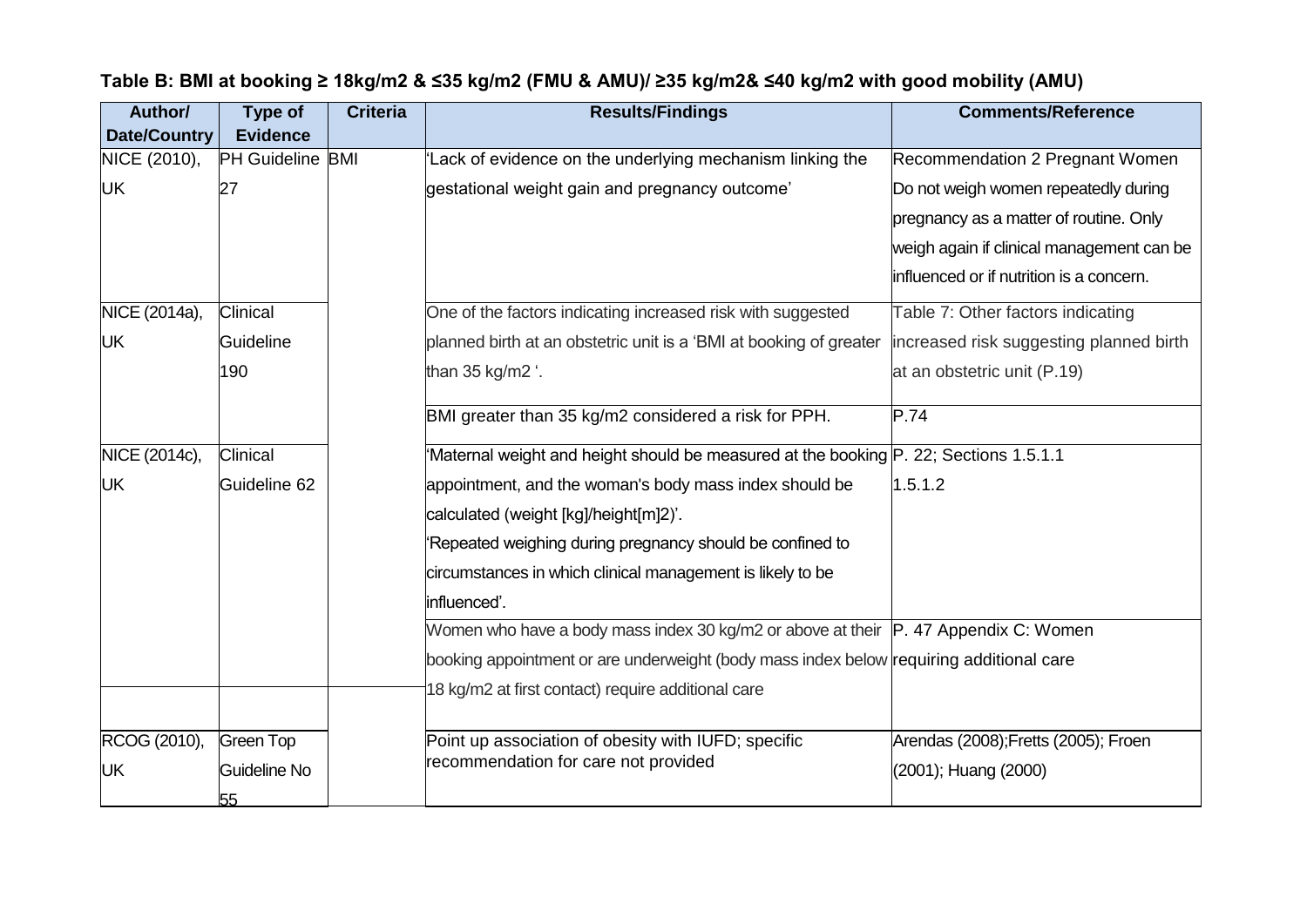| Author/             | <b>Type of</b>   | <b>Criteria</b> | <b>Results/Findings</b>                                                                 | <b>Comments/Reference</b>                 |
|---------------------|------------------|-----------------|-----------------------------------------------------------------------------------------|-------------------------------------------|
| <b>Date/Country</b> | <b>Evidence</b>  |                 |                                                                                         |                                           |
| NICE (2010),        | PH Guideline BMI |                 | Lack of evidence on the underlying mechanism linking the                                | Recommendation 2 Pregnant Women           |
| <b>UK</b>           | 27               |                 | gestational weight gain and pregnancy outcome'                                          | Do not weigh women repeatedly during      |
|                     |                  |                 |                                                                                         | pregnancy as a matter of routine. Only    |
|                     |                  |                 |                                                                                         | weigh again if clinical management can be |
|                     |                  |                 |                                                                                         | influenced or if nutrition is a concern.  |
| NICE (2014a),       | Clinical         |                 | One of the factors indicating increased risk with suggested                             | Table 7: Other factors indicating         |
| <b>UK</b>           | Guideline        |                 | planned birth at an obstetric unit is a 'BMI at booking of greater                      | increased risk suggesting planned birth   |
|                     | 190              |                 | than 35 kg/m2 '.                                                                        | at an obstetric unit (P.19)               |
|                     |                  |                 | BMI greater than 35 kg/m2 considered a risk for PPH.                                    | P.74                                      |
| NICE (2014c),       | Clinical         |                 | 'Maternal weight and height should be measured at the booking P. 22; Sections 1.5.1.1   |                                           |
| <b>UK</b>           | Guideline 62     |                 | appointment, and the woman's body mass index should be                                  | 1.5.1.2                                   |
|                     |                  |                 | calculated (weight [kg]/height[m]2)'.                                                   |                                           |
|                     |                  |                 | Repeated weighing during pregnancy should be confined to                                |                                           |
|                     |                  |                 | circumstances in which clinical management is likely to be                              |                                           |
|                     |                  |                 | influenced'.                                                                            |                                           |
|                     |                  |                 | Women who have a body mass index 30 kg/m2 or above at their   P. 47 Appendix C: Women   |                                           |
|                     |                  |                 | booking appointment or are underweight (body mass index below requiring additional care |                                           |
|                     |                  |                 | 18 kg/m2 at first contact) require additional care                                      |                                           |
|                     |                  |                 |                                                                                         |                                           |
| RCOG (2010),        | <b>Green Top</b> |                 | Point up association of obesity with IUFD; specific                                     | Arendas (2008);Fretts (2005); Froen       |
| <b>UK</b>           | Guideline No     |                 | recommendation for care not provided                                                    | (2001); Huang (2000)                      |
|                     | 55               |                 |                                                                                         |                                           |

# **Table B: BMI at booking ≥ 18kg/m2 & ≤35 kg/m2 (FMU & AMU)/ ≥35 kg/m2& ≤40 kg/m2 with good mobility (AMU)**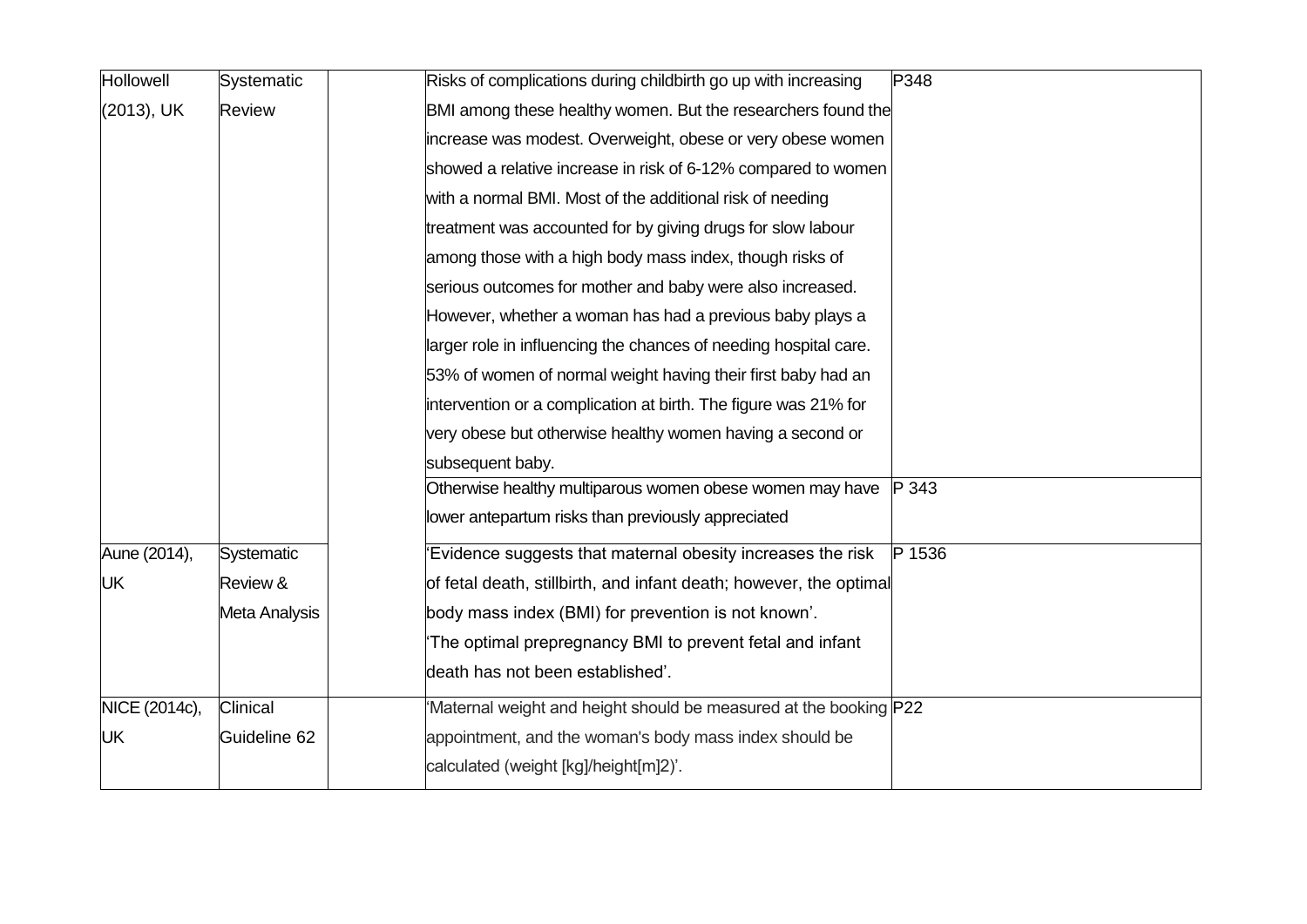| Hollowell     | Systematic        | Risks of complications during childbirth go up with increasing<br>P348 |
|---------------|-------------------|------------------------------------------------------------------------|
| (2013), UK    | Review            | BMI among these healthy women. But the researchers found the           |
|               |                   | increase was modest. Overweight, obese or very obese women             |
|               |                   | showed a relative increase in risk of 6-12% compared to women          |
|               |                   | with a normal BMI. Most of the additional risk of needing              |
|               |                   | treatment was accounted for by giving drugs for slow labour            |
|               |                   | among those with a high body mass index, though risks of               |
|               |                   | serious outcomes for mother and baby were also increased.              |
|               |                   | However, whether a woman has had a previous baby plays a               |
|               |                   | larger role in influencing the chances of needing hospital care.       |
|               |                   | 53% of women of normal weight having their first baby had an           |
|               |                   | intervention or a complication at birth. The figure was 21% for        |
|               |                   | very obese but otherwise healthy women having a second or              |
|               |                   | subsequent baby.                                                       |
|               |                   | Otherwise healthy multiparous women obese women may have<br>P 343      |
|               |                   | lower antepartum risks than previously appreciated                     |
| Aune (2014),  | <b>Systematic</b> | Evidence suggests that maternal obesity increases the risk<br>P 1536   |
| <b>UK</b>     | Review &          | of fetal death, stillbirth, and infant death; however, the optimal     |
|               | Meta Analysis     | body mass index (BMI) for prevention is not known'.                    |
|               |                   | The optimal prepregnancy BMI to prevent fetal and infant               |
|               |                   | death has not been established'.                                       |
| NICE (2014c), | Clinical          | 'Maternal weight and height should be measured at the booking P22      |
| UK            | Guideline 62      | appointment, and the woman's body mass index should be                 |
|               |                   | calculated (weight [kg]/height[m]2)'.                                  |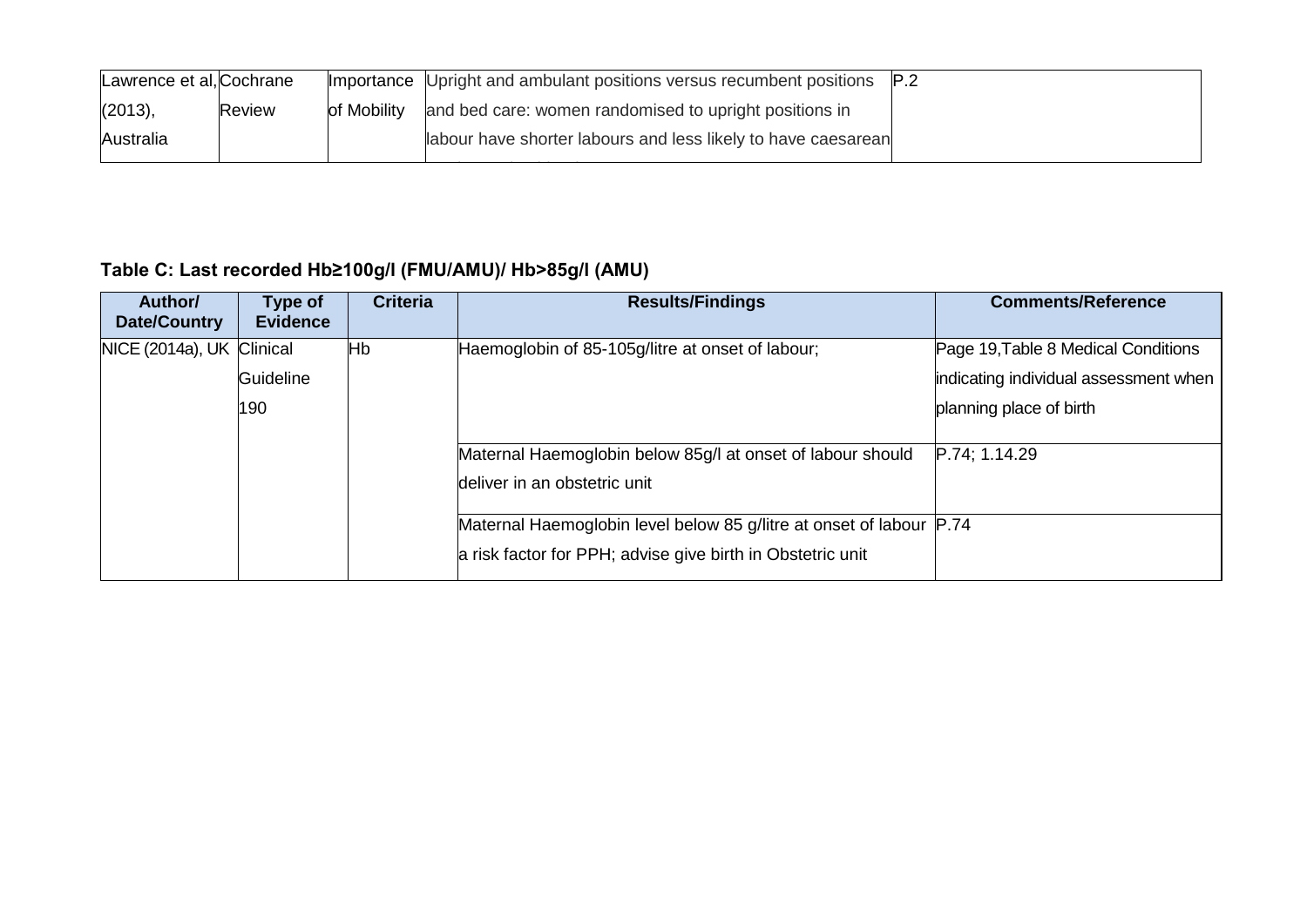| Lawrence et al, Cochrane |        |             | Importance Upright and ambulant positions versus recumbent positions P.2 |  |
|--------------------------|--------|-------------|--------------------------------------------------------------------------|--|
| (2013),                  | Review | of Mobility | and bed care: women randomised to upright positions in                   |  |
| Australia                |        |             | labour have shorter labours and less likely to have caesarean            |  |
|                          |        |             |                                                                          |  |

# **Table C: Last recorded Hb≥100g/l (FMU/AMU)/ Hb>85g/l (AMU)**

| Author/<br><b>Date/Country</b> | Type of<br><b>Evidence</b> | <b>Criteria</b> | <b>Results/Findings</b>                                             | <b>Comments/Reference</b>             |
|--------------------------------|----------------------------|-----------------|---------------------------------------------------------------------|---------------------------------------|
| NICE (2014a), UK Clinical      |                            | Hb              | Haemoglobin of 85-105g/litre at onset of labour;                    | Page 19, Table 8 Medical Conditions   |
|                                | Guideline                  |                 |                                                                     | indicating individual assessment when |
|                                | 190                        |                 |                                                                     | planning place of birth               |
|                                |                            |                 | Maternal Haemoglobin below 85g/l at onset of labour should          | P.74; 1.14.29                         |
|                                |                            |                 | deliver in an obstetric unit                                        |                                       |
|                                |                            |                 | Maternal Haemoglobin level below 85 g/litre at onset of labour P.74 |                                       |
|                                |                            |                 | a risk factor for PPH; advise give birth in Obstetric unit          |                                       |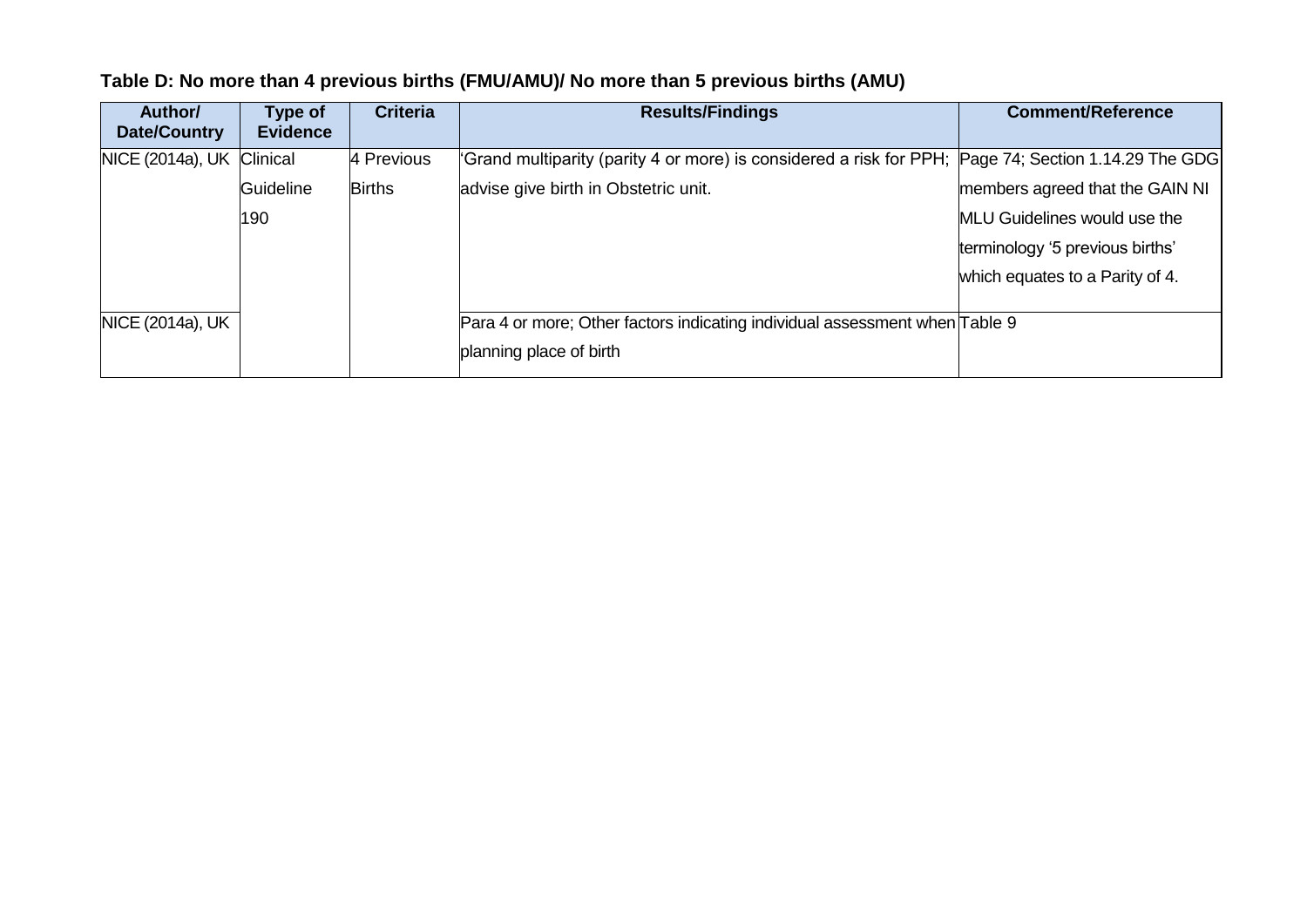| Author/<br>Date/Country | Type of<br><b>Evidence</b> | <b>Criteria</b> | <b>Results/Findings</b>                                                                              | <b>Comment/Reference</b>            |
|-------------------------|----------------------------|-----------------|------------------------------------------------------------------------------------------------------|-------------------------------------|
| NICE (2014a), UK        | Clinical                   | 4 Previous      | 'Grand multiparity (parity 4 or more) is considered a risk for PPH; Page 74; Section 1.14.29 The GDG |                                     |
|                         | Guideline                  | <b>Births</b>   | advise give birth in Obstetric unit.                                                                 | members agreed that the GAIN NI     |
|                         | 190                        |                 |                                                                                                      | <b>MLU Guidelines would use the</b> |
|                         |                            |                 |                                                                                                      | terminology '5 previous births'     |
|                         |                            |                 |                                                                                                      | which equates to a Parity of 4.     |
| NICE (2014a), UK        |                            |                 | Para 4 or more; Other factors indicating individual assessment when Table 9                          |                                     |
|                         |                            |                 | planning place of birth                                                                              |                                     |

# **Table D: No more than 4 previous births (FMU/AMU)/ No more than 5 previous births (AMU)**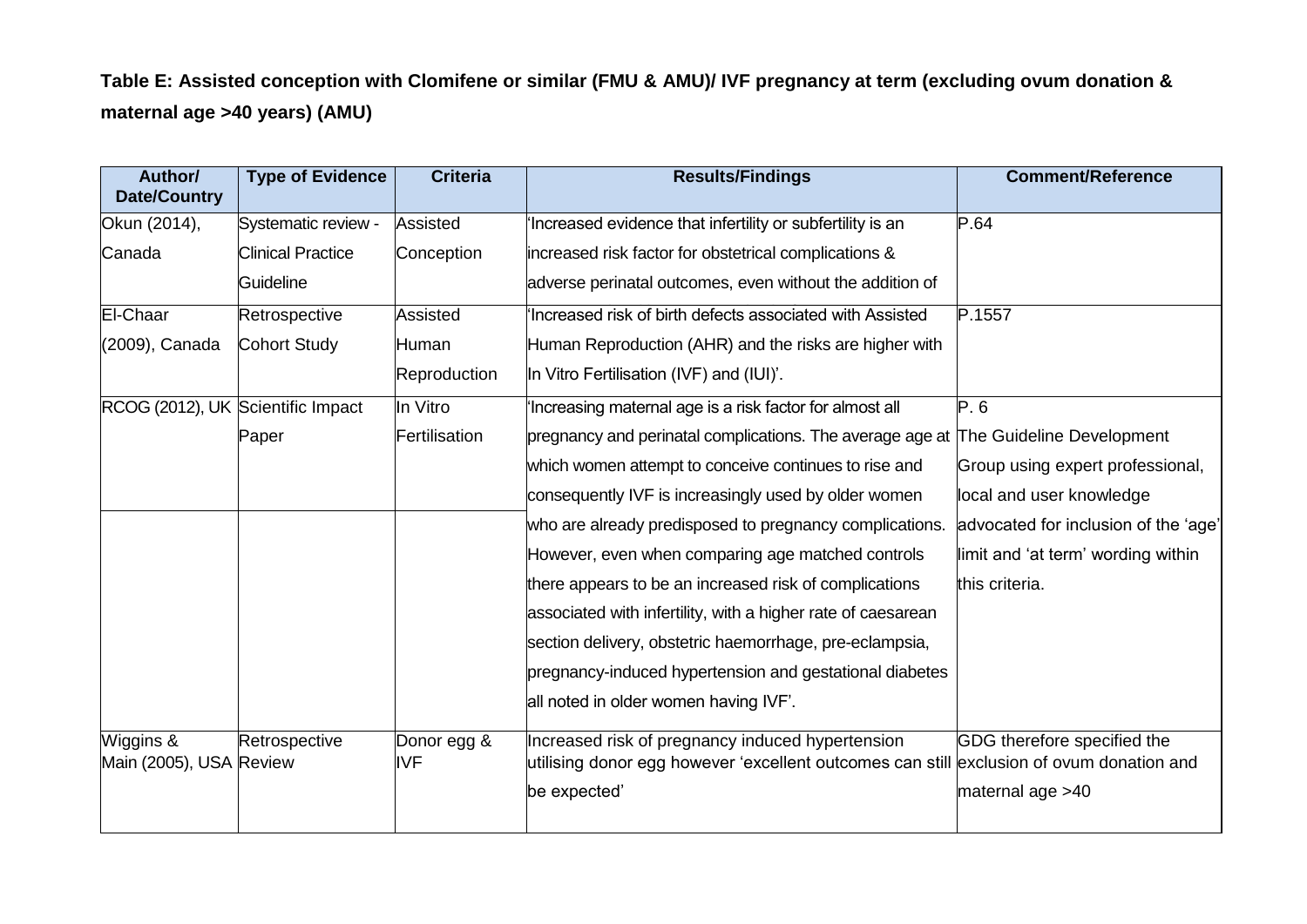**Table E: Assisted conception with Clomifene or similar (FMU & AMU)/ IVF pregnancy at term (excluding ovum donation & maternal age >40 years) (AMU)**

| Author/<br><b>Date/Country</b>       | <b>Type of Evidence</b>  | <b>Criteria</b>           | <b>Results/Findings</b>                                                                                                                      | <b>Comment/Reference</b>             |
|--------------------------------------|--------------------------|---------------------------|----------------------------------------------------------------------------------------------------------------------------------------------|--------------------------------------|
| Okun (2014),                         | Systematic review -      | Assisted                  | 'Increased evidence that infertility or subfertility is an                                                                                   | P.64                                 |
| Canada                               | <b>Clinical Practice</b> | Conception                | increased risk factor for obstetrical complications &                                                                                        |                                      |
|                                      | Guideline                |                           | adverse perinatal outcomes, even without the addition of                                                                                     |                                      |
| El-Chaar                             | Retrospective            | <b>Assisted</b>           | Increased risk of birth defects associated with Assisted                                                                                     | P.1557                               |
| (2009), Canada                       | <b>Cohort Study</b>      | Human                     | Human Reproduction (AHR) and the risks are higher with                                                                                       |                                      |
|                                      |                          | Reproduction              | In Vitro Fertilisation (IVF) and (IUI)'.                                                                                                     |                                      |
| RCOG (2012), UK Scientific Impact    |                          | In Vitro                  | Increasing maternal age is a risk factor for almost all                                                                                      | P.6                                  |
|                                      | Paper                    | Fertilisation             | pregnancy and perinatal complications. The average age at The Guideline Development                                                          |                                      |
|                                      |                          |                           | which women attempt to conceive continues to rise and                                                                                        | Group using expert professional,     |
|                                      |                          |                           | consequently IVF is increasingly used by older women                                                                                         | local and user knowledge             |
|                                      |                          |                           | who are already predisposed to pregnancy complications.                                                                                      | advocated for inclusion of the 'age' |
|                                      |                          |                           | However, even when comparing age matched controls                                                                                            | limit and 'at term' wording within   |
|                                      |                          |                           | there appears to be an increased risk of complications                                                                                       | this criteria.                       |
|                                      |                          |                           | associated with infertility, with a higher rate of caesarean                                                                                 |                                      |
|                                      |                          |                           | section delivery, obstetric haemorrhage, pre-eclampsia,                                                                                      |                                      |
|                                      |                          |                           | pregnancy-induced hypertension and gestational diabetes                                                                                      |                                      |
|                                      |                          |                           | all noted in older women having IVF'.                                                                                                        |                                      |
| Wiggins &<br>Main (2005), USA Review | Retrospective            | Donor egg &<br><b>IVF</b> | Increased risk of pregnancy induced hypertension<br>utilising donor egg however 'excellent outcomes can still exclusion of ovum donation and | GDG therefore specified the          |
|                                      |                          |                           | be expected'                                                                                                                                 | maternal age >40                     |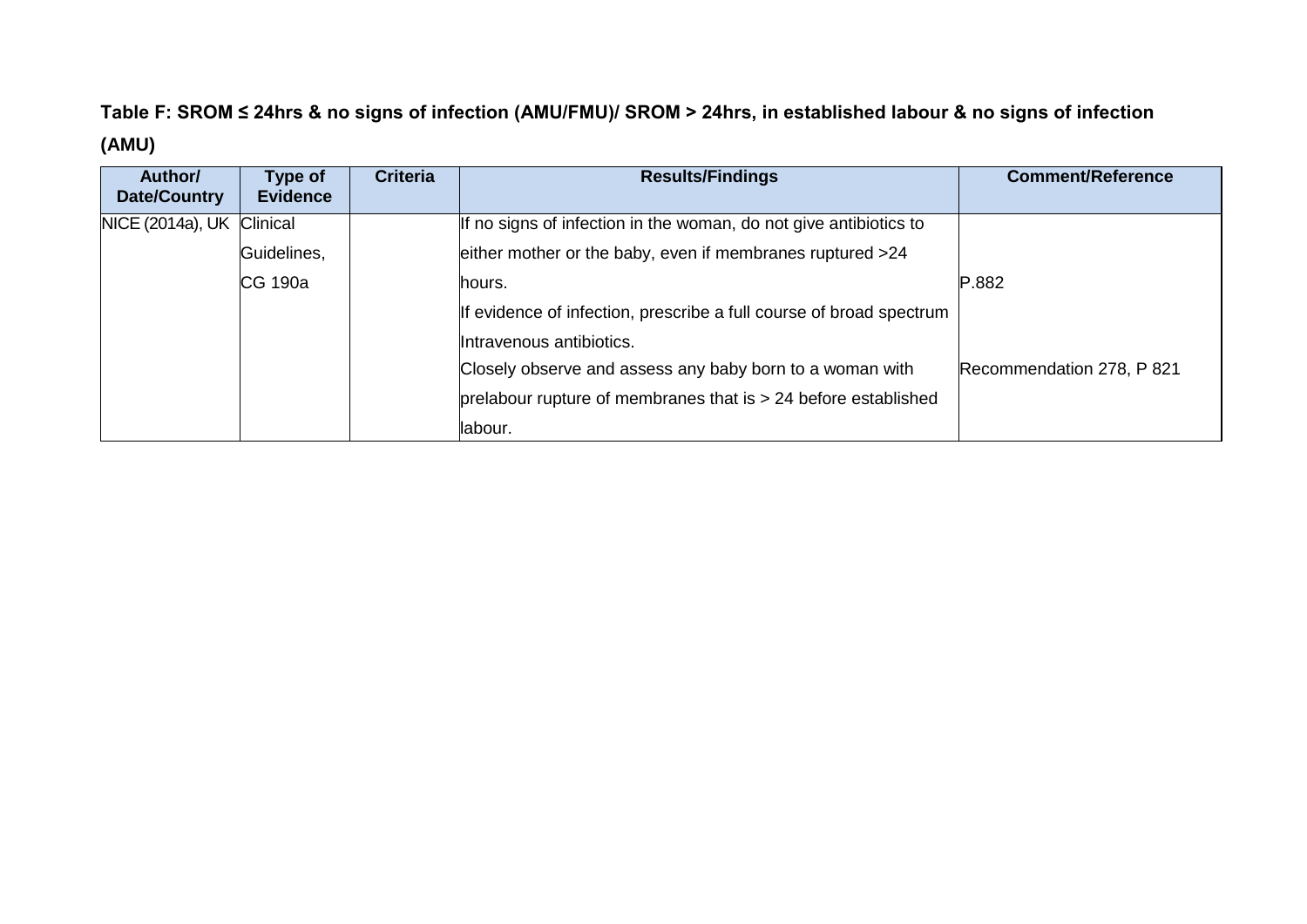# **Table F: SROM ≤ 24hrs & no signs of infection (AMU/FMU)/ SROM > 24hrs, in established labour & no signs of infection (AMU)**

| Author/<br>Date/Country | Type of<br><b>Evidence</b> | <b>Criteria</b> | <b>Results/Findings</b>                                             | <b>Comment/Reference</b>  |
|-------------------------|----------------------------|-----------------|---------------------------------------------------------------------|---------------------------|
| NICE (2014a), UK        | Clinical                   |                 | If no signs of infection in the woman, do not give antibiotics to   |                           |
|                         | Guidelines,                |                 | either mother or the baby, even if membranes ruptured >24           |                           |
|                         | CG 190a                    |                 | lhours.                                                             | P.882                     |
|                         |                            |                 | If evidence of infection, prescribe a full course of broad spectrum |                           |
|                         |                            |                 | Intravenous antibiotics.                                            |                           |
|                         |                            |                 | Closely observe and assess any baby born to a woman with            | Recommendation 278, P 821 |
|                         |                            |                 | prelabour rupture of membranes that is $> 24$ before established    |                           |
|                         |                            |                 | labour.                                                             |                           |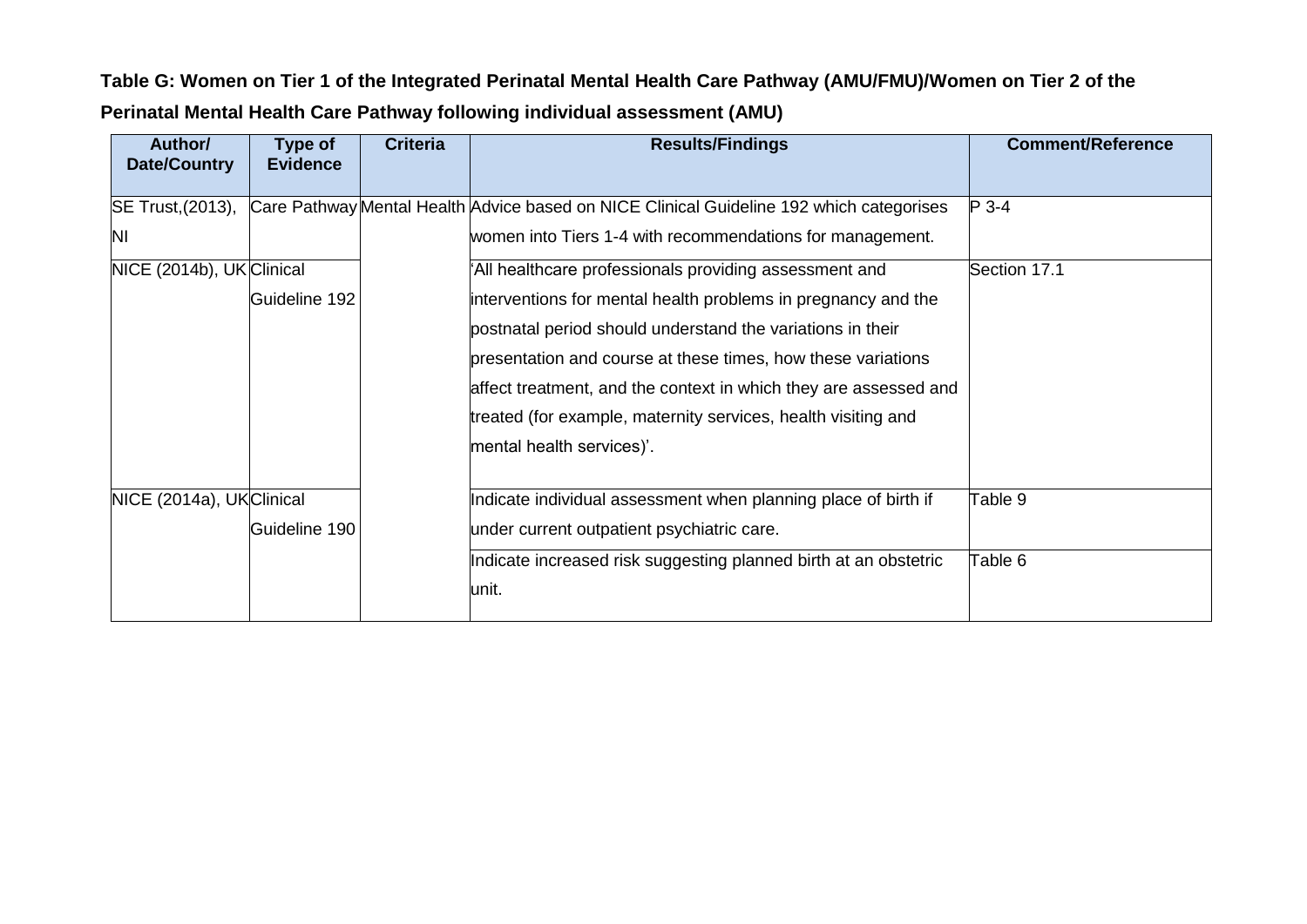**Table G: Women on Tier 1 of the Integrated Perinatal Mental Health Care Pathway (AMU/FMU)/Women on Tier 2 of the Perinatal Mental Health Care Pathway following individual assessment (AMU)**

| Author/<br><b>Date/Country</b> | Type of<br><b>Evidence</b> | <b>Criteria</b> | <b>Results/Findings</b>                                                                  | <b>Comment/Reference</b> |
|--------------------------------|----------------------------|-----------------|------------------------------------------------------------------------------------------|--------------------------|
|                                |                            |                 |                                                                                          |                          |
| SE Trust, (2013),              |                            |                 | Care Pathway Mental Health Advice based on NICE Clinical Guideline 192 which categorises | $P$ 3-4                  |
| ΙNΙ                            |                            |                 | women into Tiers 1-4 with recommendations for management.                                |                          |
| NICE (2014b), UK Clinical      |                            |                 | All healthcare professionals providing assessment and                                    | Section 17.1             |
|                                | Guideline 192              |                 | interventions for mental health problems in pregnancy and the                            |                          |
|                                |                            |                 | postnatal period should understand the variations in their                               |                          |
|                                |                            |                 | presentation and course at these times, how these variations                             |                          |
|                                |                            |                 | affect treatment, and the context in which they are assessed and                         |                          |
|                                |                            |                 | treated (for example, maternity services, health visiting and                            |                          |
|                                |                            |                 | mental health services)'.                                                                |                          |
|                                |                            |                 |                                                                                          |                          |
| NICE (2014a), UKClinical       |                            |                 | Indicate individual assessment when planning place of birth if                           | Table 9                  |
|                                | Guideline 190              |                 | under current outpatient psychiatric care.                                               |                          |
|                                |                            |                 | Indicate increased risk suggesting planned birth at an obstetric                         | Table 6                  |
|                                |                            |                 | unit.                                                                                    |                          |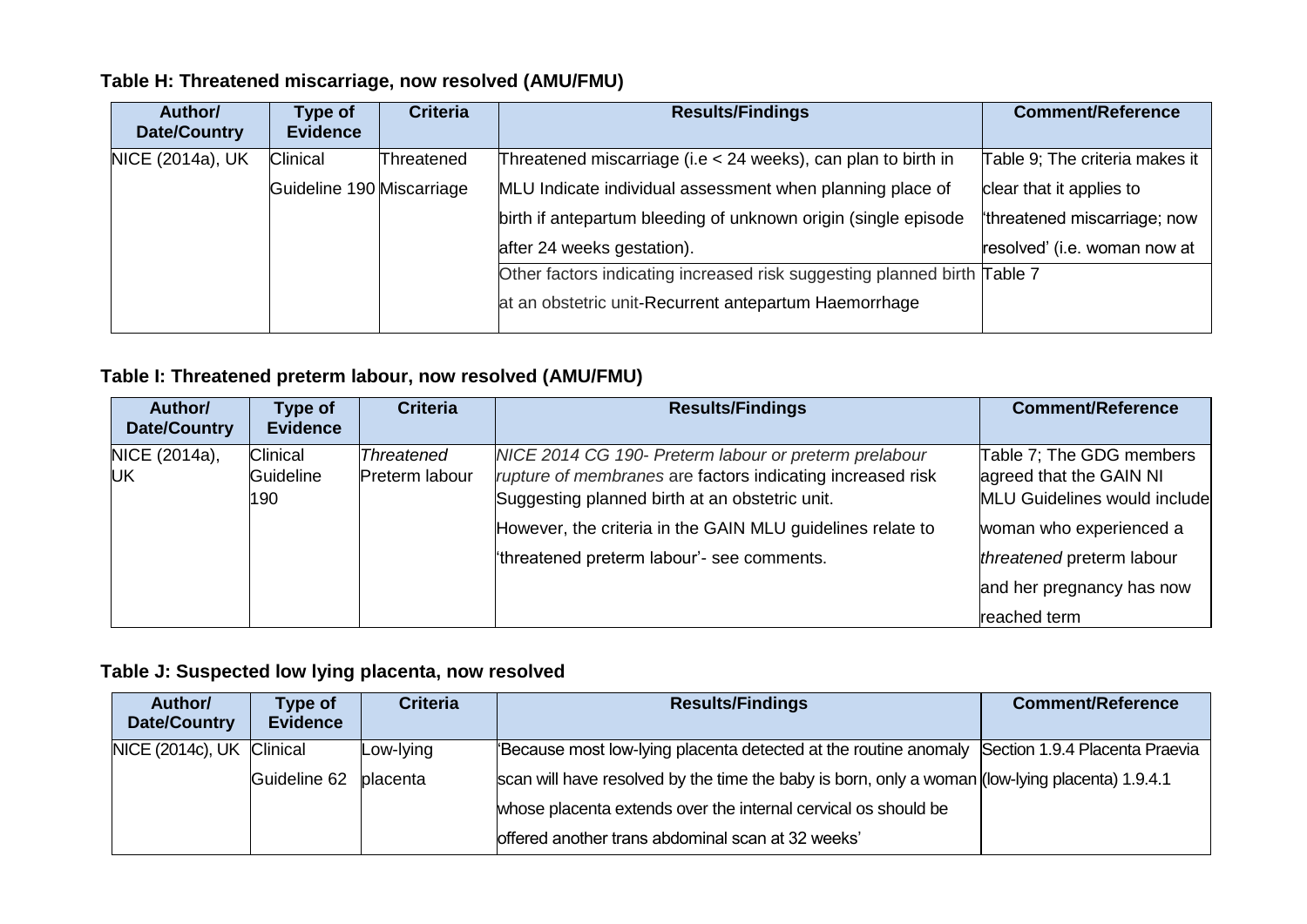### **Table H: Threatened miscarriage, now resolved (AMU/FMU)**

| Author/<br><b>Date/Country</b> | Type of<br><b>Evidence</b> | <b>Criteria</b> | <b>Results/Findings</b>                                                  | <b>Comment/Reference</b>       |
|--------------------------------|----------------------------|-----------------|--------------------------------------------------------------------------|--------------------------------|
| NICE (2014a), UK               | Clinical                   | Threatened      | Threatened miscarriage (i.e < 24 weeks), can plan to birth in            | Table 9; The criteria makes it |
|                                | Guideline 190 Miscarriage  |                 | MLU Indicate individual assessment when planning place of                | clear that it applies to       |
|                                |                            |                 | birth if antepartum bleeding of unknown origin (single episode           | threatened miscarriage; now    |
|                                |                            |                 | after 24 weeks gestation).                                               | resolved' (i.e. woman now at   |
|                                |                            |                 | Other factors indicating increased risk suggesting planned birth Table 7 |                                |
|                                |                            |                 | at an obstetric unit-Recurrent antepartum Haemorrhage                    |                                |

### **Table I: Threatened preterm labour, now resolved (AMU/FMU)**

| Author/<br>Date/Country     | Type of<br><b>Evidence</b>          | <b>Criteria</b>                     | <b>Results/Findings</b>                                                                                                                                                                                                                                                          | <b>Comment/Reference</b>                                                                                                                                                                 |
|-----------------------------|-------------------------------------|-------------------------------------|----------------------------------------------------------------------------------------------------------------------------------------------------------------------------------------------------------------------------------------------------------------------------------|------------------------------------------------------------------------------------------------------------------------------------------------------------------------------------------|
| NICE (2014a),<br><b>IUK</b> | <b>Clinical</b><br>Guideline<br>190 | <b>Threatened</b><br>Preterm labour | NICE 2014 CG 190- Preterm labour or preterm prelabour<br>rupture of membranes are factors indicating increased risk<br>Suggesting planned birth at an obstetric unit.<br>However, the criteria in the GAIN MLU guidelines relate to<br>threatened preterm labour'- see comments. | Table 7; The GDG members<br>agreed that the GAIN NI<br>MLU Guidelines would include<br>woman who experienced a<br>threatened preterm labour<br>and her pregnancy has now<br>reached term |

### **Table J: Suspected low lying placenta, now resolved**

| Author/<br>Date/Country   | Type of<br><b>Evidence</b> | <b>Criteria</b>  | <b>Results/Findings</b>                                                                         | <b>Comment/Reference</b> |
|---------------------------|----------------------------|------------------|-------------------------------------------------------------------------------------------------|--------------------------|
| NICE (2014c), UK Clinical |                            | Low-lying        | 'Because most low-lying placenta detected at the routine anomaly Section 1.9.4 Placenta Praevia |                          |
|                           | Guideline 62               | <b>lplacenta</b> | scan will have resolved by the time the baby is born, only a woman (low-lying placenta) 1.9.4.1 |                          |
|                           |                            |                  | whose placenta extends over the internal cervical os should be                                  |                          |
|                           |                            |                  | offered another trans abdominal scan at 32 weeks'                                               |                          |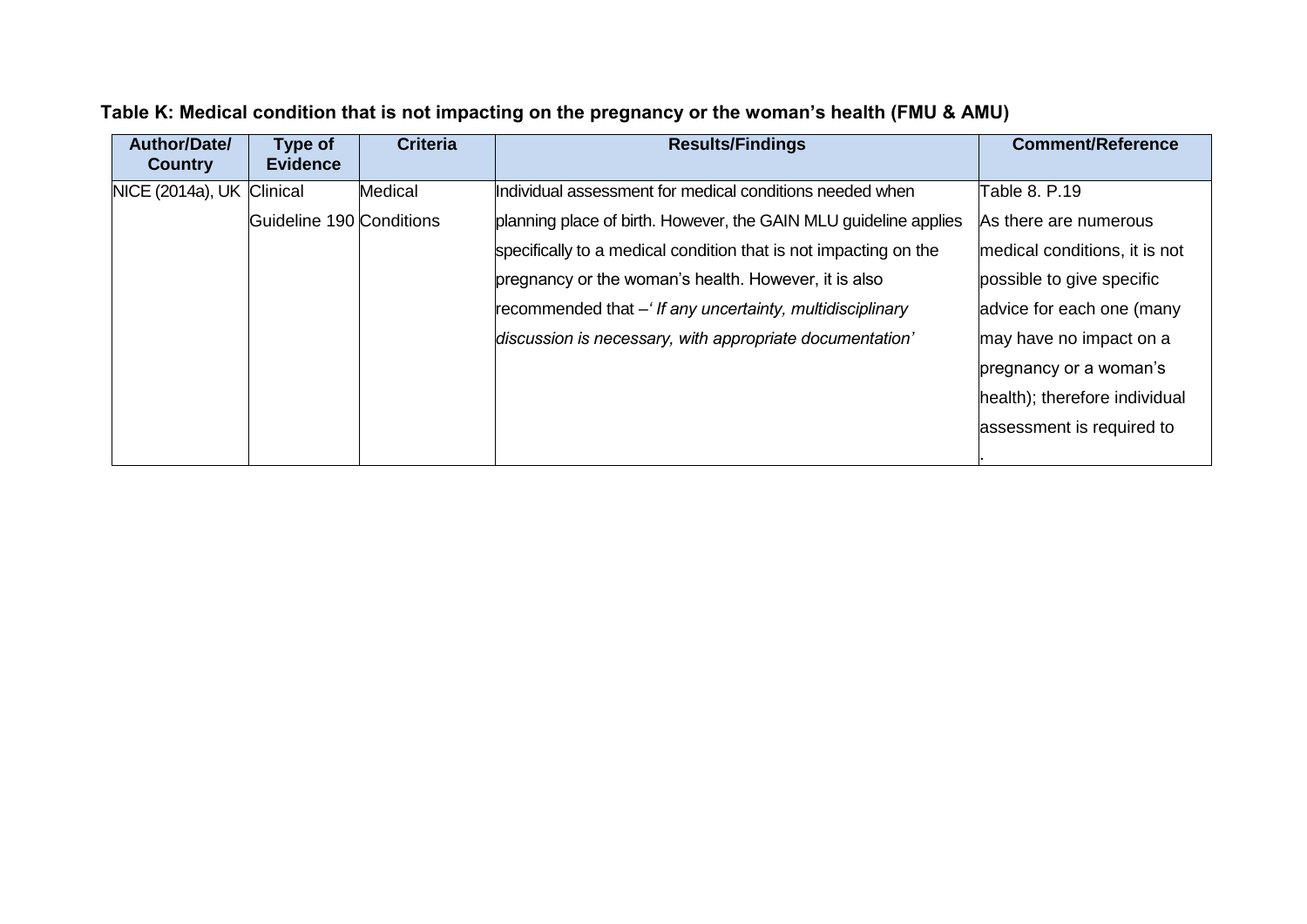| Author/Date/<br><b>Country</b> | Type of<br><b>Evidence</b> | <b>Criteria</b> | <b>Results/Findings</b>                                          | <b>Comment/Reference</b>      |
|--------------------------------|----------------------------|-----------------|------------------------------------------------------------------|-------------------------------|
| NICE (2014a), UK Clinical      |                            | Medical         | Individual assessment for medical conditions needed when         | Table 8. P.19                 |
|                                | Guideline 190 Conditions   |                 | planning place of birth. However, the GAIN MLU guideline applies | As there are numerous         |
|                                |                            |                 | specifically to a medical condition that is not impacting on the | medical conditions, it is not |
|                                |                            |                 | pregnancy or the woman's health. However, it is also             | possible to give specific     |
|                                |                            |                 | recommended that – If any uncertainty, multidisciplinary         | advice for each one (many     |
|                                |                            |                 | discussion is necessary, with appropriate documentation'         | may have no impact on a       |
|                                |                            |                 |                                                                  | pregnancy or a woman's        |
|                                |                            |                 |                                                                  | health); therefore individual |
|                                |                            |                 |                                                                  | assessment is required to     |
|                                |                            |                 |                                                                  |                               |

# **Table K: Medical condition that is not impacting on the pregnancy or the woman's health (FMU & AMU)**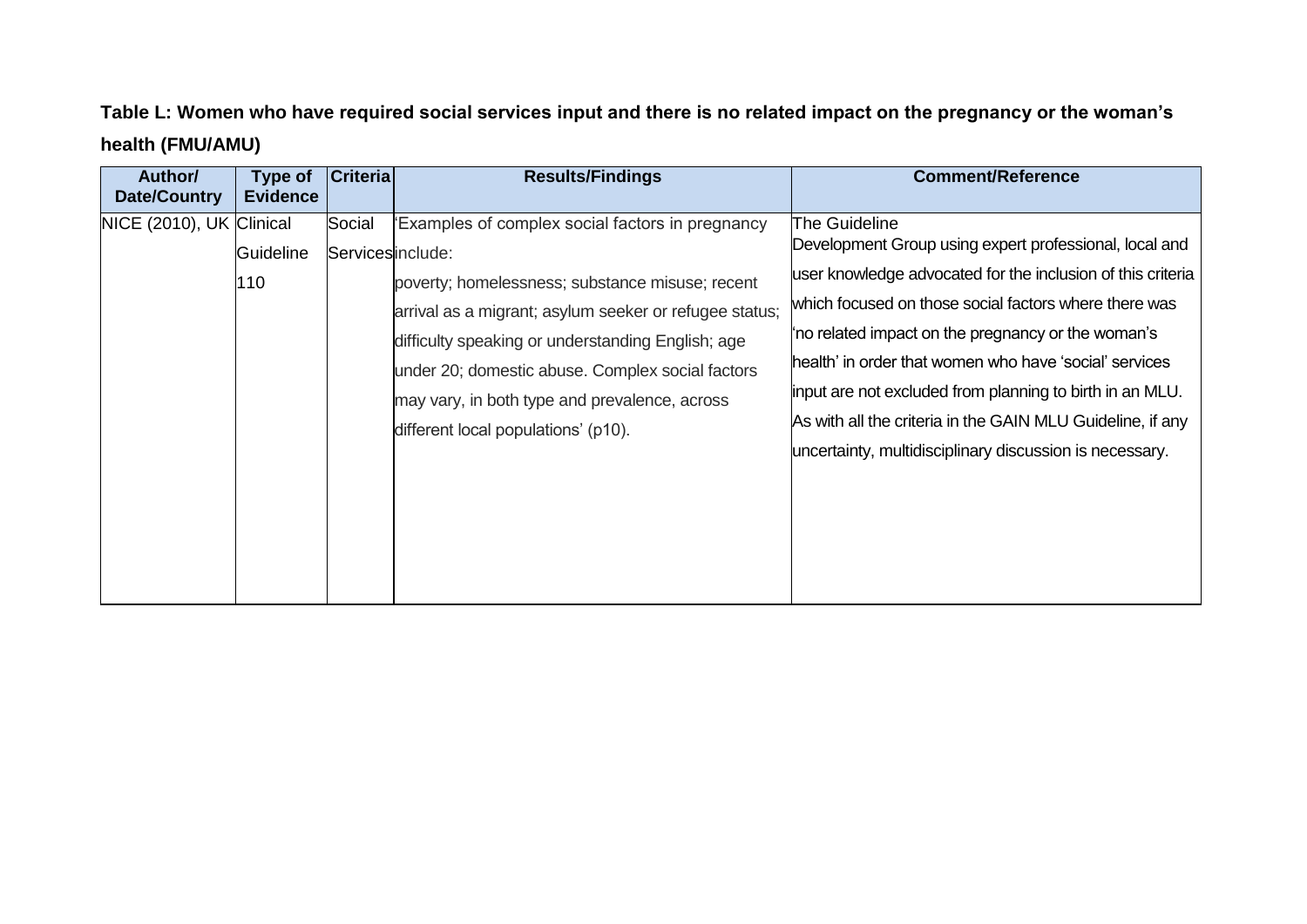**Table L: Women who have required social services input and there is no related impact on the pregnancy or the woman's health (FMU/AMU)**

| Author/<br><b>Date/Country</b> | Type of<br><b>Evidence</b> | <b>Criteria</b>            | <b>Results/Findings</b>                                                                                                                                                                                                                                                                                                                                        | <b>Comment/Reference</b>                                                                                                                                                                                                                                                                                                                                                                                                                                                                             |
|--------------------------------|----------------------------|----------------------------|----------------------------------------------------------------------------------------------------------------------------------------------------------------------------------------------------------------------------------------------------------------------------------------------------------------------------------------------------------------|------------------------------------------------------------------------------------------------------------------------------------------------------------------------------------------------------------------------------------------------------------------------------------------------------------------------------------------------------------------------------------------------------------------------------------------------------------------------------------------------------|
| NICE (2010), UK Clinical       | Guideline<br>110           | Social<br>Servicesinclude: | 'Examples of complex social factors in pregnancy<br>poverty; homelessness; substance misuse; recent<br>arrival as a migrant; asylum seeker or refugee status;<br>difficulty speaking or understanding English; age<br>under 20; domestic abuse. Complex social factors<br>may vary, in both type and prevalence, across<br>different local populations' (p10). | The Guideline<br>Development Group using expert professional, local and<br>user knowledge advocated for the inclusion of this criteria<br>which focused on those social factors where there was<br>'no related impact on the pregnancy or the woman's<br>health' in order that women who have 'social' services<br>input are not excluded from planning to birth in an MLU.<br>As with all the criteria in the GAIN MLU Guideline, if any<br>uncertainty, multidisciplinary discussion is necessary. |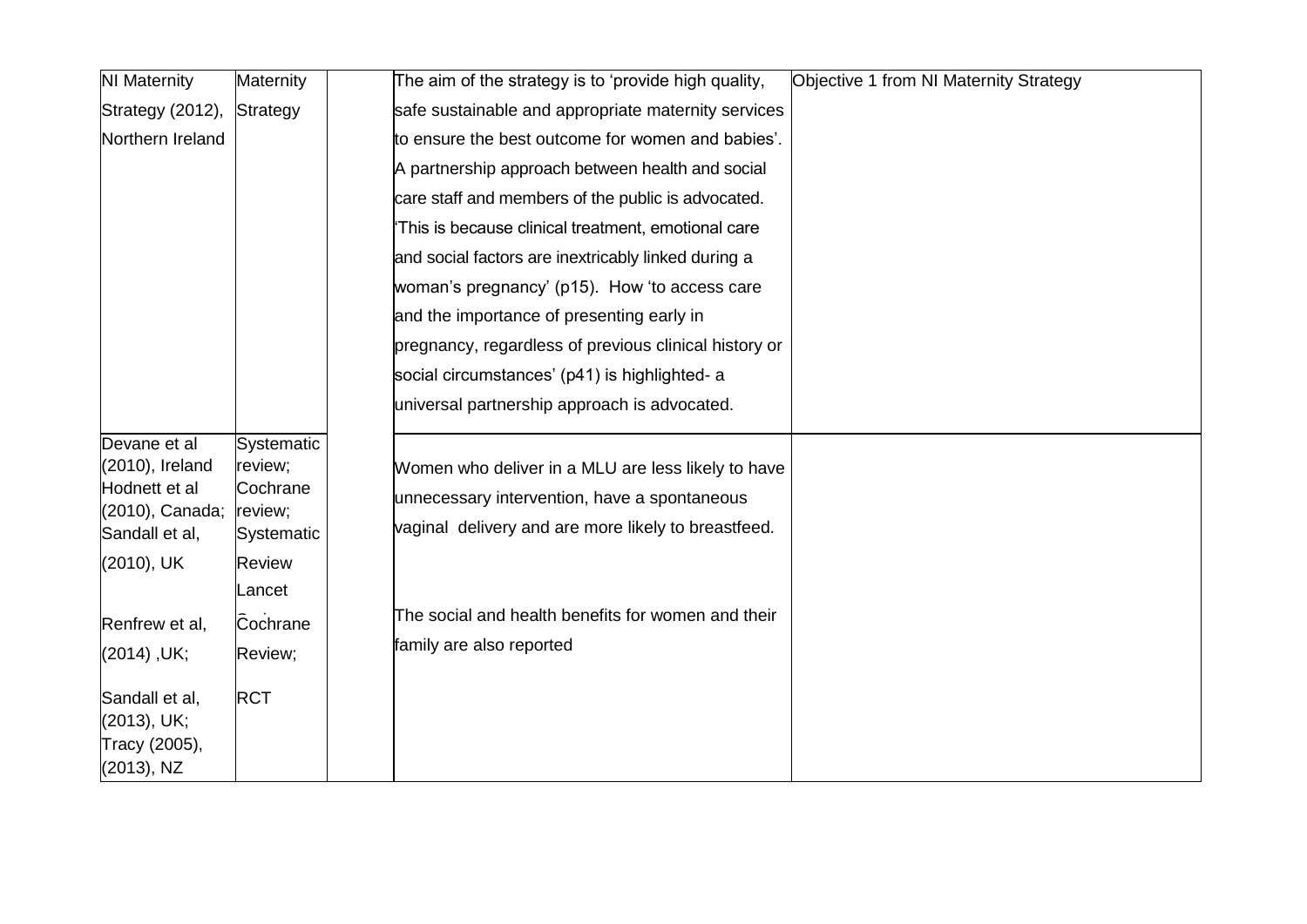| <b>NI Maternity</b>                                                                   | Maternity                                                  | Objective 1 from NI Maternity Strategy<br>The aim of the strategy is to 'provide high quality,                                                            |
|---------------------------------------------------------------------------------------|------------------------------------------------------------|-----------------------------------------------------------------------------------------------------------------------------------------------------------|
| Strategy (2012),                                                                      | Strategy                                                   | safe sustainable and appropriate maternity services                                                                                                       |
| Northern Ireland                                                                      |                                                            | to ensure the best outcome for women and babies'.                                                                                                         |
|                                                                                       |                                                            | A partnership approach between health and social                                                                                                          |
|                                                                                       |                                                            | care staff and members of the public is advocated.                                                                                                        |
|                                                                                       |                                                            | This is because clinical treatment, emotional care                                                                                                        |
|                                                                                       |                                                            | and social factors are inextricably linked during a                                                                                                       |
|                                                                                       |                                                            | woman's pregnancy' (p15). How 'to access care                                                                                                             |
|                                                                                       |                                                            | and the importance of presenting early in                                                                                                                 |
|                                                                                       |                                                            | pregnancy, regardless of previous clinical history or                                                                                                     |
|                                                                                       |                                                            | social circumstances' (p41) is highlighted- a                                                                                                             |
|                                                                                       |                                                            | universal partnership approach is advocated.                                                                                                              |
| Devane et al<br>(2010), Ireland<br>Hodnett et al<br>(2010), Canada;<br>Sandall et al, | Systematic<br>review;<br>Cochrane<br>review;<br>Systematic | Women who deliver in a MLU are less likely to have<br>unnecessary intervention, have a spontaneous<br>vaginal delivery and are more likely to breastfeed. |
| (2010), UK                                                                            | Review<br>Lancet                                           |                                                                                                                                                           |
| Renfrew et al,                                                                        | Cochrane                                                   | The social and health benefits for women and their                                                                                                        |
| $(2014)$ , UK;                                                                        | Review;                                                    | family are also reported                                                                                                                                  |
| Sandall et al,<br>(2013), UK;<br>Tracy (2005),<br>(2013), NZ                          | <b>RCT</b>                                                 |                                                                                                                                                           |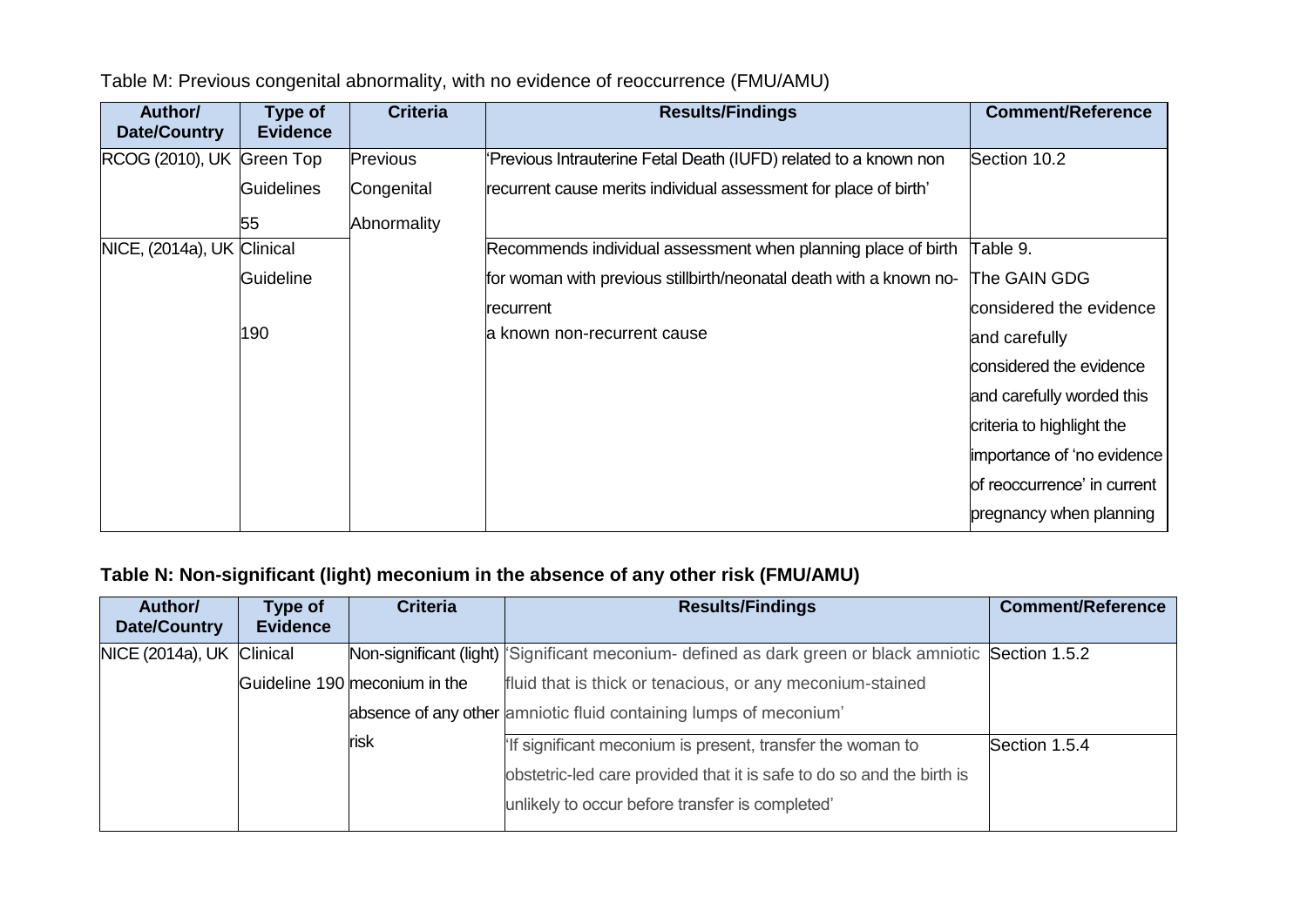| Author/<br><b>Date/Country</b> | Type of<br><b>Evidence</b> | <b>Criteria</b> | <b>Results/Findings</b>                                            | <b>Comment/Reference</b>    |
|--------------------------------|----------------------------|-----------------|--------------------------------------------------------------------|-----------------------------|
| RCOG (2010), UK Green Top      |                            | Previous        | 'Previous Intrauterine Fetal Death (IUFD) related to a known non   | Section 10.2                |
|                                | <b>Guidelines</b>          | Congenital      | recurrent cause merits individual assessment for place of birth'   |                             |
|                                | 55                         | Abnormality     |                                                                    |                             |
| NICE, (2014a), UK Clinical     |                            |                 | Recommends individual assessment when planning place of birth      | Table 9.                    |
|                                | Guideline                  |                 | for woman with previous stillbirth/neonatal death with a known no- | The GAIN GDG                |
|                                |                            |                 | recurrent                                                          | considered the evidence     |
|                                | 190                        |                 | a known non-recurrent cause                                        | and carefully               |
|                                |                            |                 |                                                                    | considered the evidence     |
|                                |                            |                 |                                                                    | and carefully worded this   |
|                                |                            |                 |                                                                    | criteria to highlight the   |
|                                |                            |                 |                                                                    | importance of 'no evidence  |
|                                |                            |                 |                                                                    | of reoccurrence' in current |
|                                |                            |                 |                                                                    | pregnancy when planning     |

Table M: Previous congenital abnormality, with no evidence of reoccurrence (FMU/AMU)

### **Table N: Non-significant (light) meconium in the absence of any other risk (FMU/AMU)**

| Author/<br><b>Date/Country</b> | Type of<br><b>Evidence</b> | <b>Criteria</b>               | <b>Results/Findings</b>                                                                             | <b>Comment/Reference</b> |
|--------------------------------|----------------------------|-------------------------------|-----------------------------------------------------------------------------------------------------|--------------------------|
| NICE (2014a), UK Clinical      |                            |                               | Non-significant (light) Significant meconium- defined as dark green or black amniotic Section 1.5.2 |                          |
|                                |                            | Guideline 190 meconium in the | fluid that is thick or tenacious, or any meconium-stained                                           |                          |
|                                |                            |                               | absence of any other amniotic fluid containing lumps of meconium'                                   |                          |
|                                |                            | <b>risk</b>                   | If significant meconium is present, transfer the woman to                                           | Section 1.5.4            |
|                                |                            |                               | obstetric-led care provided that it is safe to do so and the birth is                               |                          |
|                                |                            |                               | unlikely to occur before transfer is completed'                                                     |                          |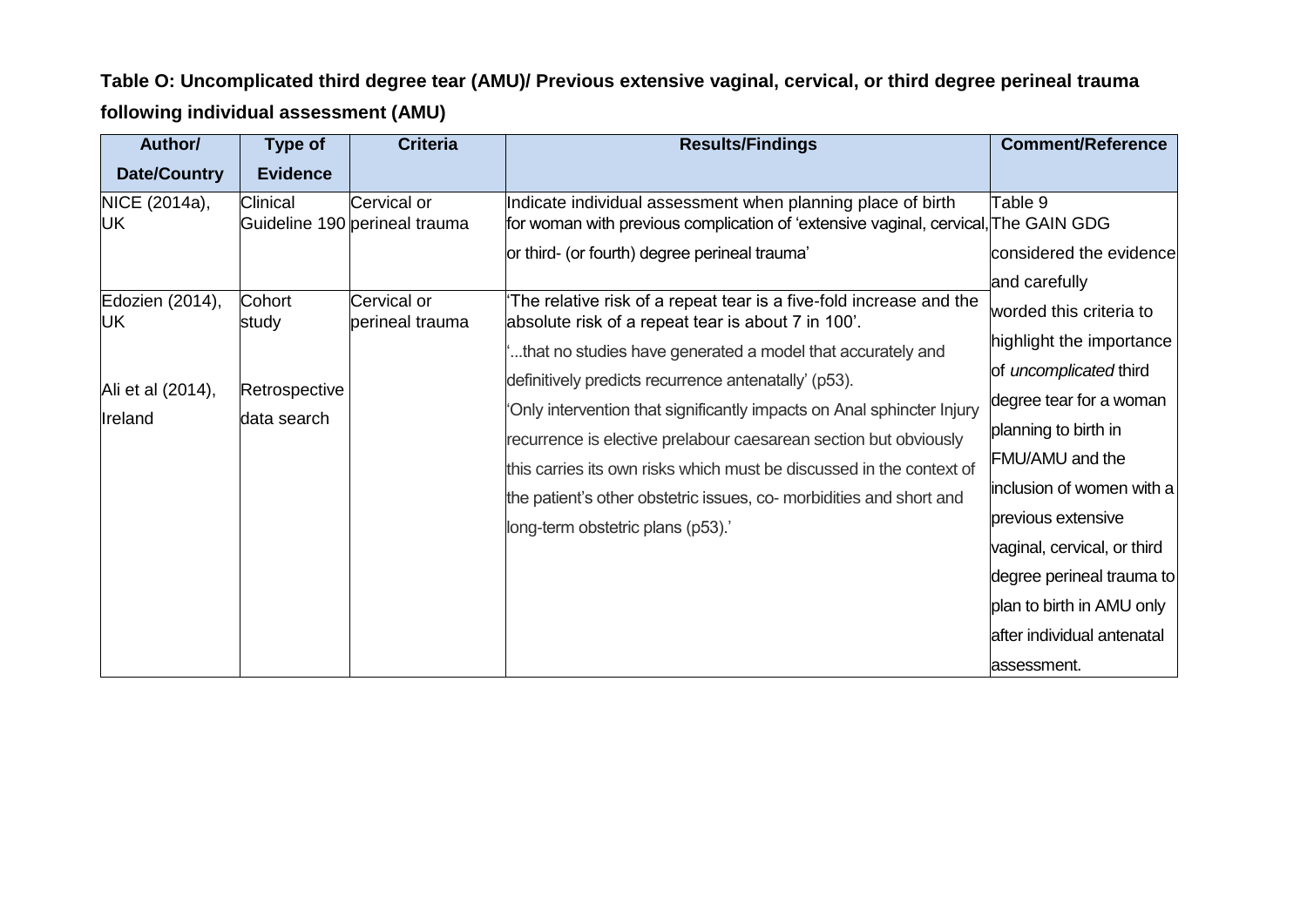## **Table O: Uncomplicated third degree tear (AMU)/ Previous extensive vaginal, cervical, or third degree perineal trauma following individual assessment (AMU)**

| Author/                                               | Type of                                         | <b>Criteria</b>                              | <b>Results/Findings</b>                                                                                                                                                                                                                                                                                                                                                                     | <b>Comment/Reference</b>                                                                                                                                                                                 |
|-------------------------------------------------------|-------------------------------------------------|----------------------------------------------|---------------------------------------------------------------------------------------------------------------------------------------------------------------------------------------------------------------------------------------------------------------------------------------------------------------------------------------------------------------------------------------------|----------------------------------------------------------------------------------------------------------------------------------------------------------------------------------------------------------|
| <b>Date/Country</b>                                   | <b>Evidence</b>                                 |                                              |                                                                                                                                                                                                                                                                                                                                                                                             |                                                                                                                                                                                                          |
| NICE (2014a),<br>UK                                   | Clinical                                        | Cervical or<br>Guideline 190 perineal trauma | Indicate individual assessment when planning place of birth<br>for woman with previous complication of 'extensive vaginal, cervical, The GAIN GDG<br>or third- (or fourth) degree perineal trauma'                                                                                                                                                                                          | Table 9<br>considered the evidence                                                                                                                                                                       |
| Edozien (2014),<br>UK<br>Ali et al (2014),<br>Ireland | Cohort<br>study<br>Retrospective<br>data search | Cervical or<br>perineal trauma               | The relative risk of a repeat tear is a five-fold increase and the<br>absolute risk of a repeat tear is about 7 in 100'.<br>that no studies have generated a model that accurately and<br>definitively predicts recurrence antenatally' (p53).<br>Only intervention that significantly impacts on Anal sphincter Injury<br>recurrence is elective prelabour caesarean section but obviously | and carefully<br>worded this criteria to<br>highlight the importance<br>of uncomplicated third<br>degree tear for a woman<br>planning to birth in                                                        |
|                                                       |                                                 |                                              | this carries its own risks which must be discussed in the context of<br>the patient's other obstetric issues, co- morbidities and short and<br>long-term obstetric plans (p53).'                                                                                                                                                                                                            | FMU/AMU and the<br>inclusion of women with a<br>previous extensive<br>vaginal, cervical, or third<br>degree perineal trauma to<br>plan to birth in AMU only<br>after individual antenatal<br>assessment. |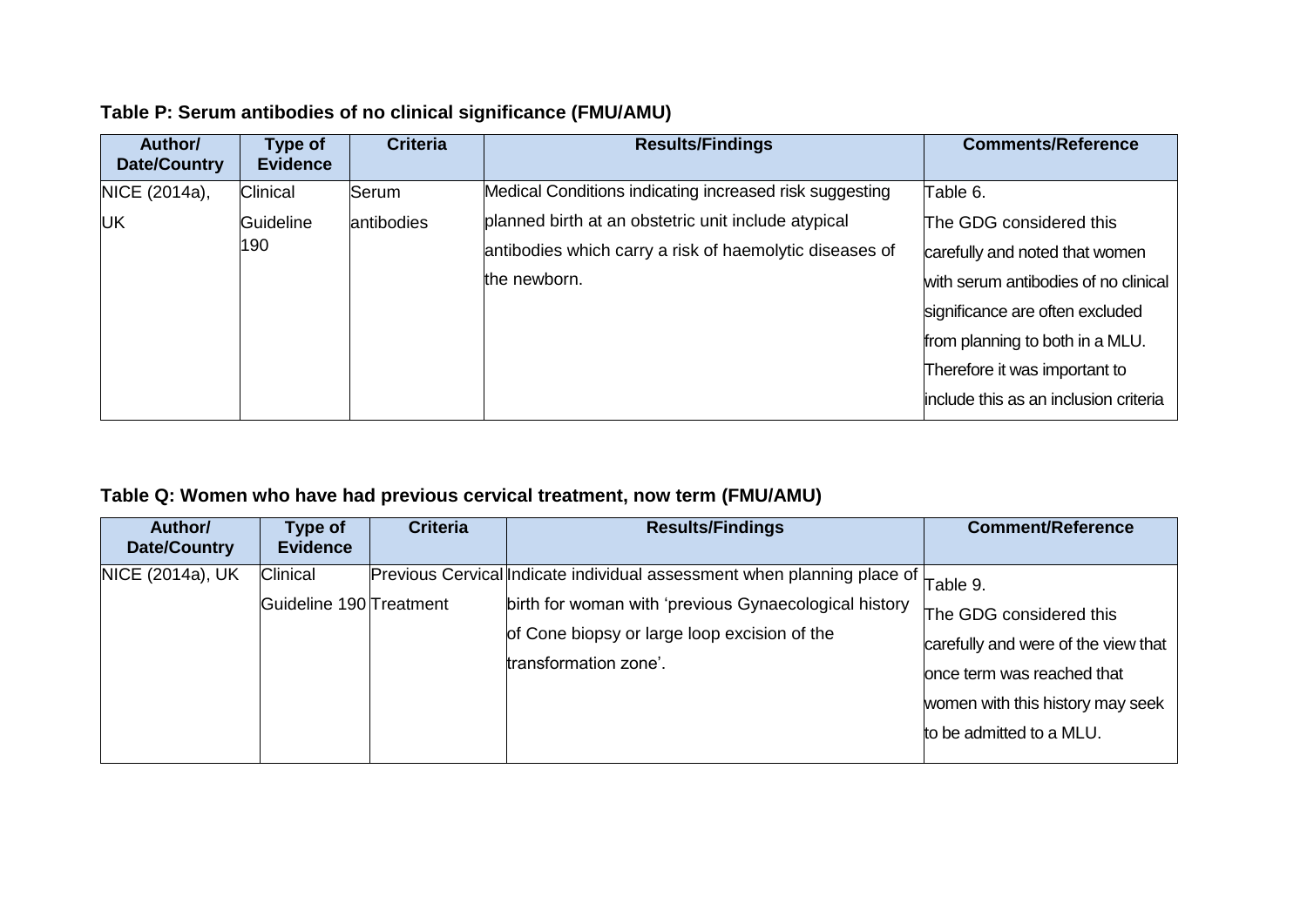| Author/<br>Date/Country | Type of<br><b>Evidence</b> | <b>Criteria</b> | <b>Results/Findings</b>                                 | <b>Comments/Reference</b>             |
|-------------------------|----------------------------|-----------------|---------------------------------------------------------|---------------------------------------|
| NICE (2014a),           | Clinical                   | Serum           | Medical Conditions indicating increased risk suggesting | Table 6.                              |
| UK                      | Guideline                  | antibodies      | planned birth at an obstetric unit include atypical     | The GDG considered this               |
|                         | 190                        |                 | antibodies which carry a risk of haemolytic diseases of | carefully and noted that women        |
|                         |                            |                 | the newborn.                                            | with serum antibodies of no clinical  |
|                         |                            |                 |                                                         | significance are often excluded       |
|                         |                            |                 |                                                         | from planning to both in a MLU.       |
|                         |                            |                 |                                                         | Therefore it was important to         |
|                         |                            |                 |                                                         | include this as an inclusion criteria |
|                         |                            |                 |                                                         |                                       |

### **Table P: Serum antibodies of no clinical significance (FMU/AMU)**

### **Table Q: Women who have had previous cervical treatment, now term (FMU/AMU)**

| Author/<br>Date/Country | Type of<br><b>Evidence</b>                 | <b>Criteria</b> | <b>Results/Findings</b>                                                                                                                                                                                   | <b>Comment/Reference</b>                                                                                                                                                 |
|-------------------------|--------------------------------------------|-----------------|-----------------------------------------------------------------------------------------------------------------------------------------------------------------------------------------------------------|--------------------------------------------------------------------------------------------------------------------------------------------------------------------------|
| NICE (2014a), UK        | <b>Clinical</b><br>Guideline 190 Treatment |                 | Previous Cervical Indicate individual assessment when planning place of<br>birth for woman with 'previous Gynaecological history<br>of Cone biopsy or large loop excision of the<br>transformation zone'. | Table 9.<br>The GDG considered this<br>carefully and were of the view that<br>once term was reached that<br>women with this history may seek<br>to be admitted to a MLU. |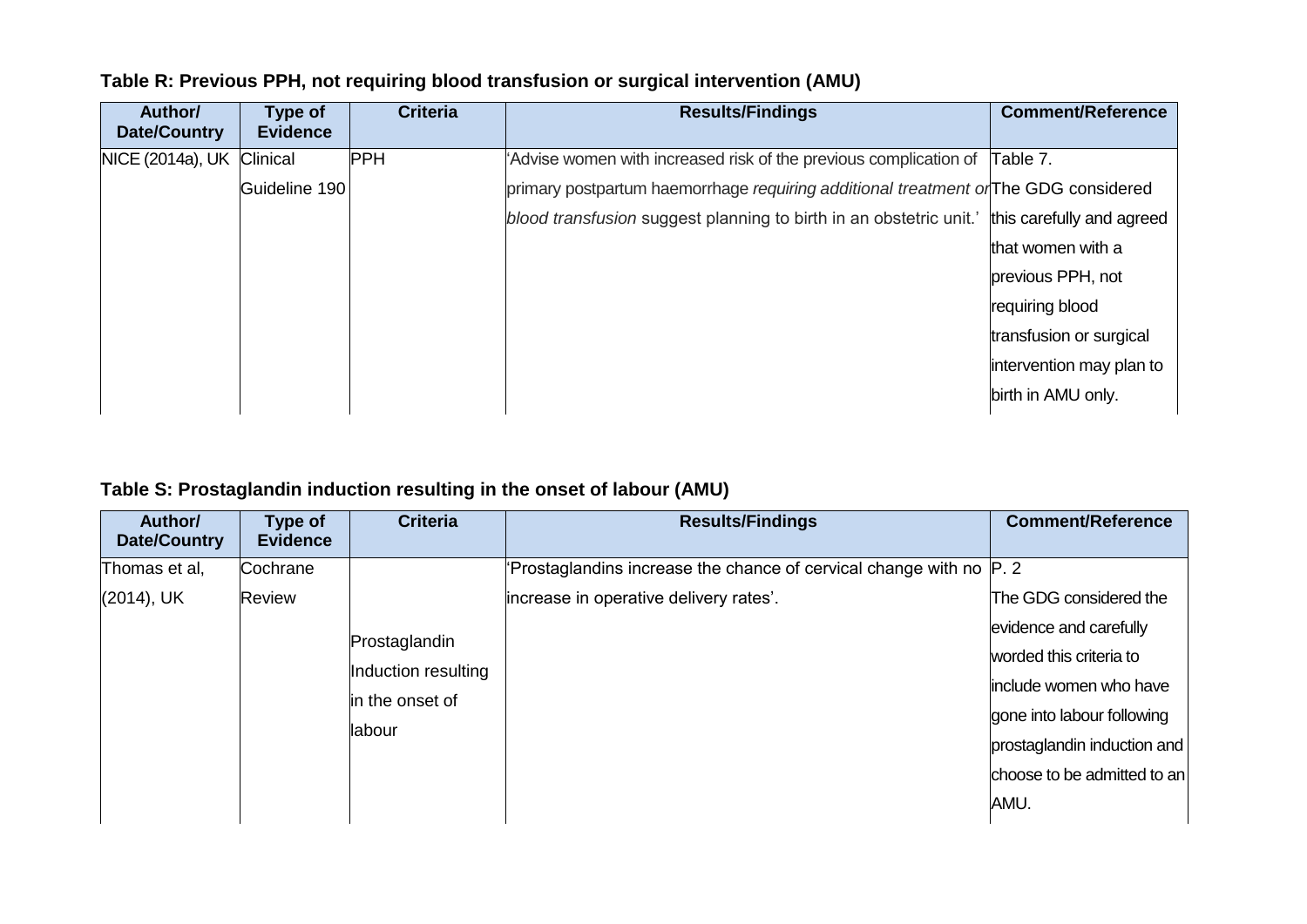| Author/<br><b>Date/Country</b> | <b>Type of</b><br><b>Evidence</b> | <b>Criteria</b> | <b>Results/Findings</b>                                                             | <b>Comment/Reference</b>  |
|--------------------------------|-----------------------------------|-----------------|-------------------------------------------------------------------------------------|---------------------------|
| NICE (2014a), UK               | Clinical                          | <b>PPH</b>      | Advise women with increased risk of the previous complication of                    | Table 7.                  |
|                                | Guideline 190                     |                 | primary postpartum haemorrhage requiring additional treatment or The GDG considered |                           |
|                                |                                   |                 | blood transfusion suggest planning to birth in an obstetric unit.'                  | this carefully and agreed |
|                                |                                   |                 |                                                                                     | that women with a         |
|                                |                                   |                 |                                                                                     | previous PPH, not         |
|                                |                                   |                 |                                                                                     | requiring blood           |
|                                |                                   |                 |                                                                                     | transfusion or surgical   |
|                                |                                   |                 |                                                                                     | intervention may plan to  |
|                                |                                   |                 |                                                                                     | birth in AMU only.        |

### **Table R: Previous PPH, not requiring blood transfusion or surgical intervention (AMU)**

### **Table S: Prostaglandin induction resulting in the onset of labour (AMU)**

| Author/<br>Date/Country | Type of<br><b>Evidence</b> | <b>Criteria</b>     | <b>Results/Findings</b>                                                 | <b>Comment/Reference</b>    |
|-------------------------|----------------------------|---------------------|-------------------------------------------------------------------------|-----------------------------|
| Thomas et al,           | Cochrane                   |                     | Prostaglandins increase the chance of cervical change with no $ P $ . 2 |                             |
| $(2014)$ , UK           | <b>Review</b>              |                     | increase in operative delivery rates'.                                  | The GDG considered the      |
|                         |                            | Prostaglandin       |                                                                         | evidence and carefully      |
|                         |                            | Induction resulting |                                                                         | worded this criteria to     |
|                         |                            |                     |                                                                         | linclude women who have     |
|                         |                            | in the onset of     |                                                                         | gone into labour following  |
|                         |                            | llabour             |                                                                         | prostaglandin induction and |
|                         |                            |                     |                                                                         | choose to be admitted to an |
|                         |                            |                     |                                                                         | AMU.                        |
|                         |                            |                     |                                                                         |                             |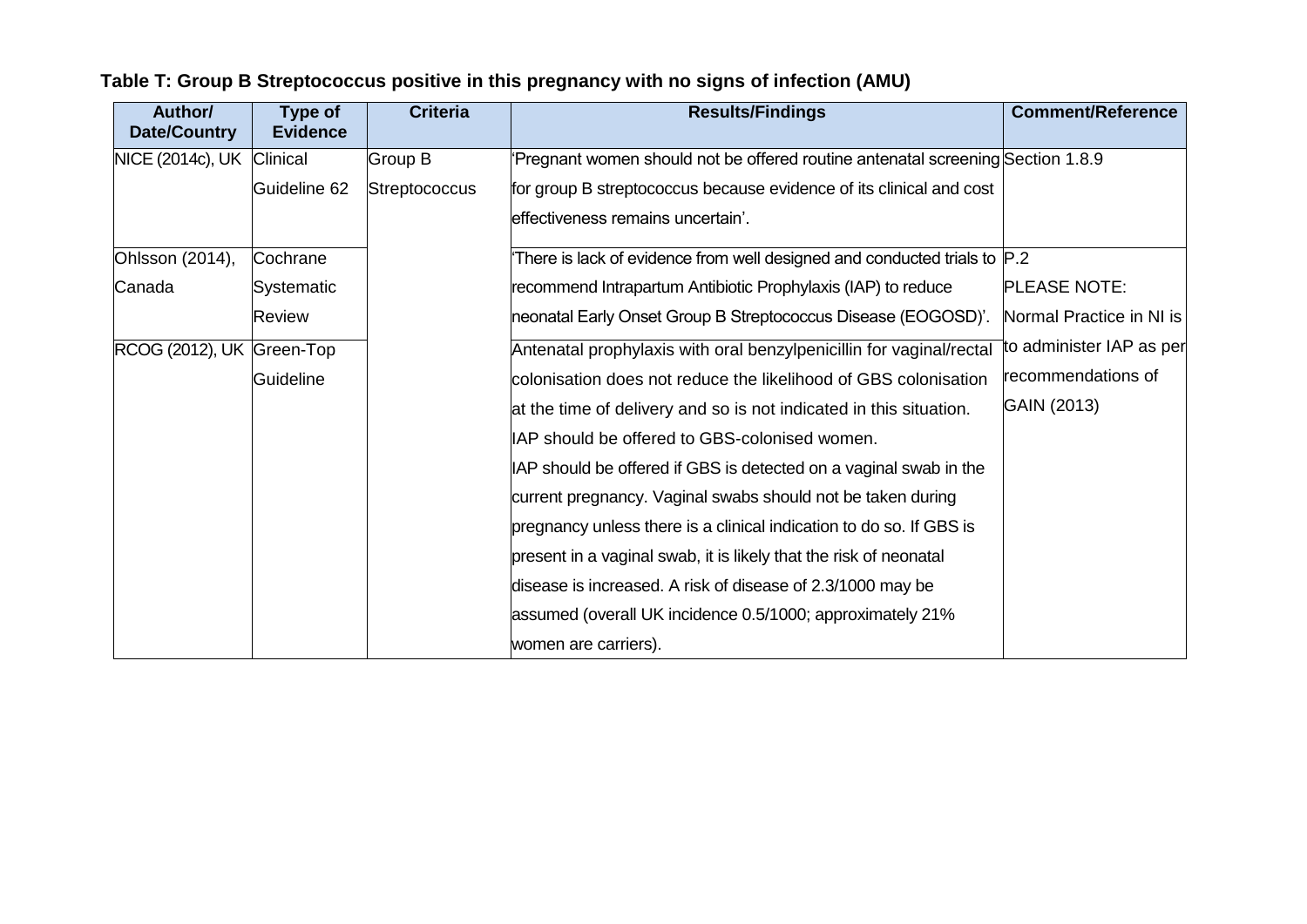| Author/<br><b>Date/Country</b> | <b>Type of</b><br><b>Evidence</b> | <b>Criteria</b>      | <b>Results/Findings</b>                                                        | <b>Comment/Reference</b> |
|--------------------------------|-----------------------------------|----------------------|--------------------------------------------------------------------------------|--------------------------|
| NICE (2014c), UK Clinical      |                                   | Group B              | Pregnant women should not be offered routine antenatal screening Section 1.8.9 |                          |
|                                | Guideline 62                      | <b>Streptococcus</b> | for group B streptococcus because evidence of its clinical and cost            |                          |
|                                |                                   |                      | effectiveness remains uncertain'.                                              |                          |
| Ohlsson (2014),                | Cochrane                          |                      | There is lack of evidence from well designed and conducted trials to $ P.2 $   |                          |
| Canada                         | <b>Systematic</b>                 |                      | recommend Intrapartum Antibiotic Prophylaxis (IAP) to reduce                   | <b>PLEASE NOTE:</b>      |
|                                | Review                            |                      | neonatal Early Onset Group B Streptococcus Disease (EOGOSD)'.                  | Normal Practice in NI is |
| RCOG (2012), UK Green-Top      |                                   |                      | Antenatal prophylaxis with oral benzylpenicillin for vaginal/rectal            | to administer IAP as per |
|                                | Guideline                         |                      | colonisation does not reduce the likelihood of GBS colonisation                | recommendations of       |
|                                |                                   |                      | at the time of delivery and so is not indicated in this situation.             | GAIN (2013)              |
|                                |                                   |                      | IAP should be offered to GBS-colonised women.                                  |                          |
|                                |                                   |                      | IAP should be offered if GBS is detected on a vaginal swab in the              |                          |
|                                |                                   |                      | current pregnancy. Vaginal swabs should not be taken during                    |                          |
|                                |                                   |                      | pregnancy unless there is a clinical indication to do so. If GBS is            |                          |
|                                |                                   |                      | present in a vaginal swab, it is likely that the risk of neonatal              |                          |
|                                |                                   |                      | disease is increased. A risk of disease of 2.3/1000 may be                     |                          |
|                                |                                   |                      | assumed (overall UK incidence 0.5/1000; approximately 21%                      |                          |
|                                |                                   |                      | women are carriers).                                                           |                          |

# **Table T: Group B Streptococcus positive in this pregnancy with no signs of infection (AMU)**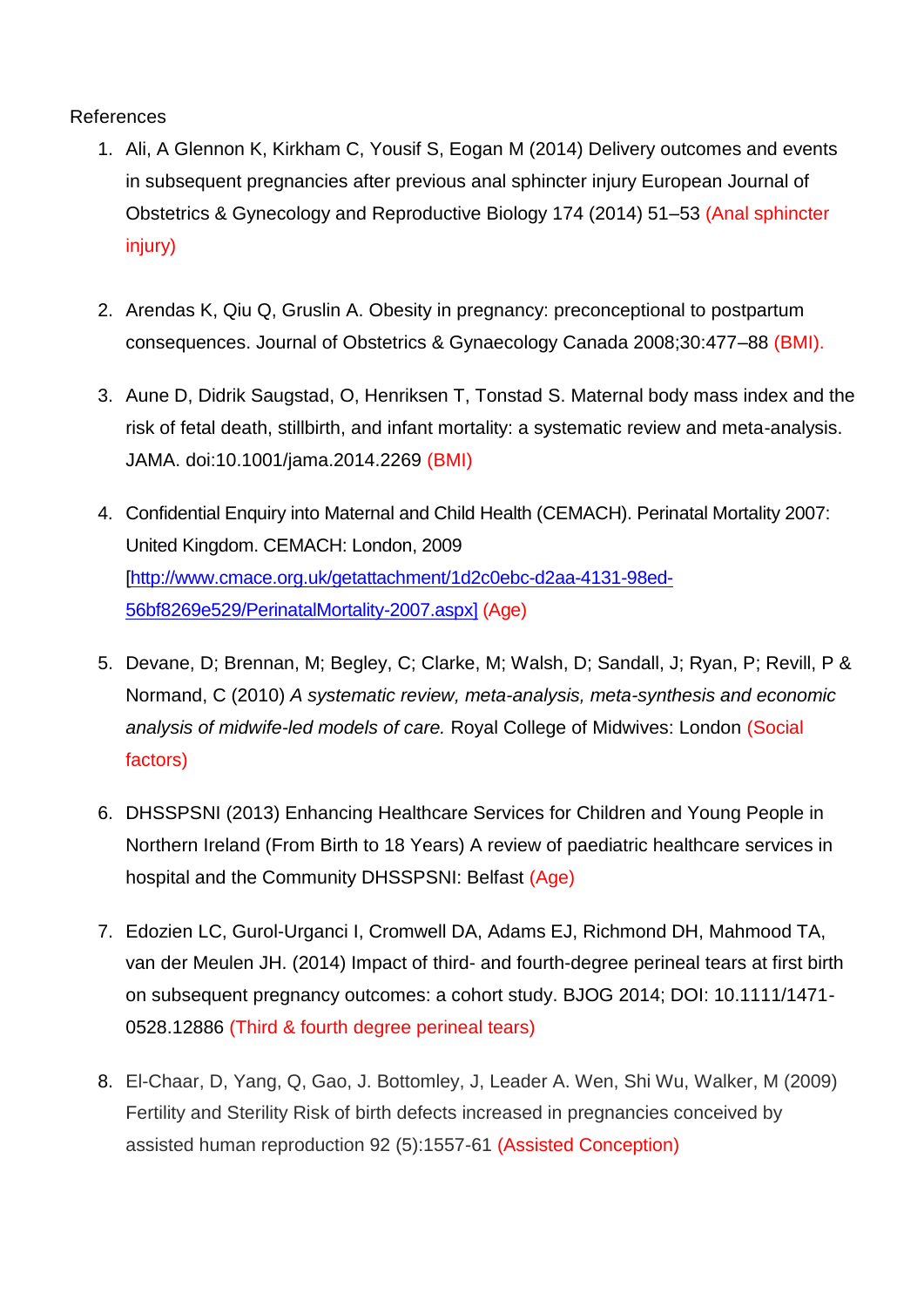#### References

- 1. Ali, A Glennon K, Kirkham C, Yousif S, Eogan M (2014) Delivery outcomes and events in subsequent pregnancies after previous anal sphincter injury European Journal of Obstetrics & Gynecology and Reproductive Biology 174 (2014) 51–53 (Anal sphincter injury)
- 2. Arendas K, Qiu Q, Gruslin A. Obesity in pregnancy: preconceptional to postpartum consequences. Journal of Obstetrics & Gynaecology Canada 2008;30:477–88 (BMI).
- 3. Aune D, Didrik Saugstad, O, Henriksen T, Tonstad S. Maternal body mass index and the risk of fetal death, stillbirth, and infant mortality: a systematic review and meta-analysis. JAMA. doi:10.1001/jama.2014.2269 (BMI)
- 4. Confidential Enquiry into Maternal and Child Health (CEMACH). Perinatal Mortality 2007: United Kingdom. CEMACH: London, 2009 [http://www.cmace.org.uk/getattachment/1d2c0ebc-d2aa-4131-98ed-56bf8269e529/PerinatalMortality-2007.aspx] (Age)
- 5. Devane, D; Brennan, M; Begley, C; Clarke, M; Walsh, D; Sandall, J; Ryan, P; Revill, P & Normand, C (2010) *A systematic review, meta-analysis, meta-synthesis and economic analysis of midwife-led models of care.* Royal College of Midwives: London (Social factors)
- 6. DHSSPSNI (2013) Enhancing Healthcare Services for Children and Young People in Northern Ireland (From Birth to 18 Years) A review of paediatric healthcare services in hospital and the Community DHSSPSNI: Belfast (Age)
- 7. Edozien LC, Gurol-Urganci I, Cromwell DA, Adams EJ, Richmond DH, Mahmood TA, van der Meulen JH. (2014) Impact of third- and fourth-degree perineal tears at first birth on subsequent pregnancy outcomes: a cohort study. BJOG 2014; DOI: 10.1111/1471- 0528.12886 (Third & fourth degree perineal tears)
- 8. El-Chaar, D, Yang, Q, Gao, J. Bottomley, J, Leader A. Wen, Shi Wu, Walker, M (2009) Fertility and Sterility Risk of birth defects increased in pregnancies conceived by assisted human reproduction 92 (5):1557-61 (Assisted Conception)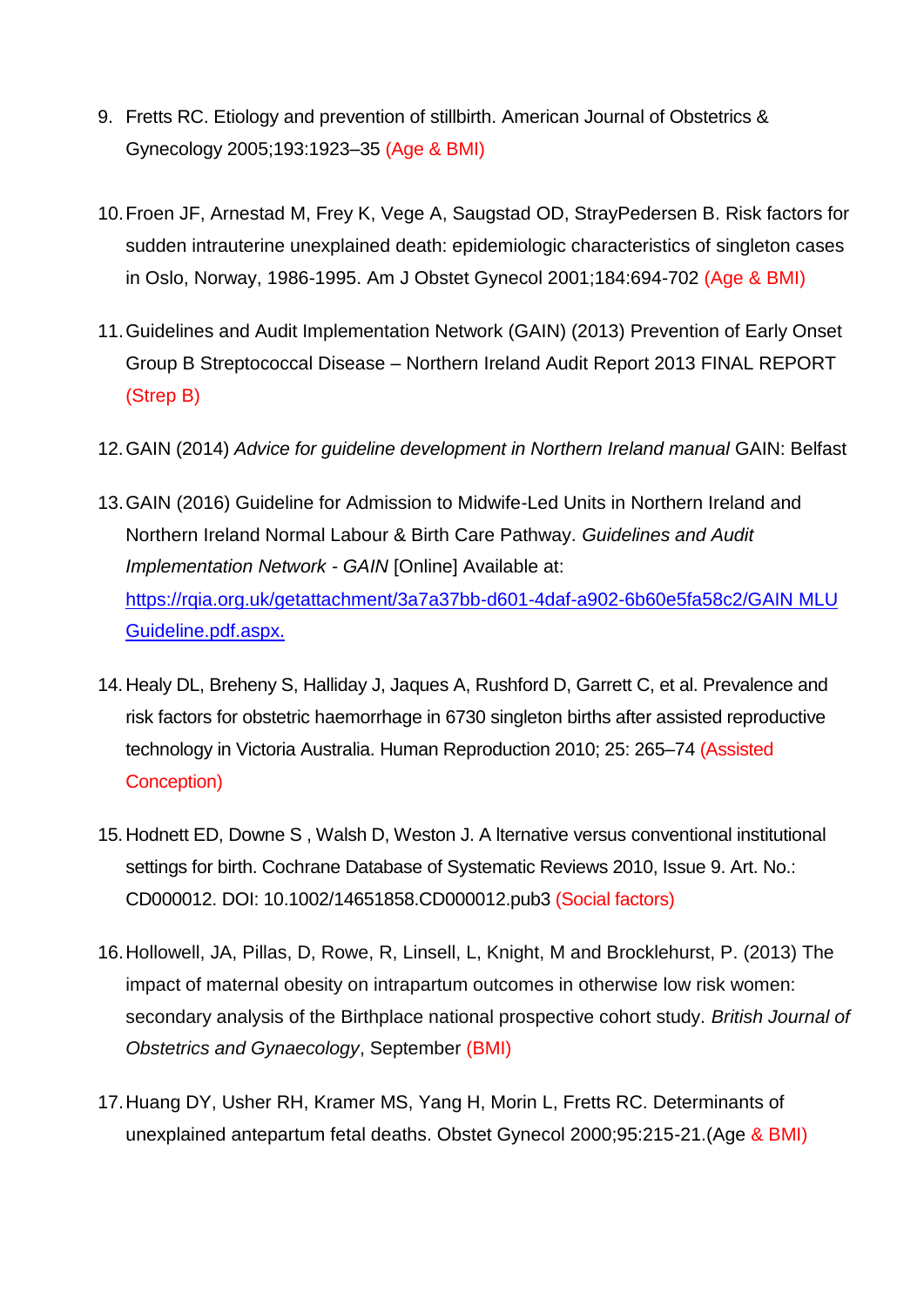- 9. Fretts RC. Etiology and prevention of stillbirth. American Journal of Obstetrics & Gynecology 2005;193:1923–35 (Age & BMI)
- 10.Froen JF, Arnestad M, Frey K, Vege A, Saugstad OD, StrayPedersen B. Risk factors for sudden intrauterine unexplained death: epidemiologic characteristics of singleton cases in Oslo, Norway, 1986-1995. Am J Obstet Gynecol 2001;184:694-702 (Age & BMI)
- 11.Guidelines and Audit Implementation Network (GAIN) (2013) Prevention of Early Onset Group B Streptococcal Disease – Northern Ireland Audit Report 2013 FINAL REPORT (Strep B)
- 12.GAIN (2014) *Advice for guideline development in Northern Ireland manual* GAIN: Belfast
- 13.GAIN (2016) Guideline for Admission to Midwife-Led Units in Northern Ireland and Northern Ireland Normal Labour & Birth Care Pathway. *Guidelines and Audit Implementation Network - GAIN [Online] Available at:* <https://rqia.org.uk/getattachment/3a7a37bb-d601-4daf-a902-6b60e5fa58c2/GAIN> MLU Guideline.pdf.aspx.
- 14.Healy DL, Breheny S, Halliday J, Jaques A, Rushford D, Garrett C, et al. Prevalence and risk factors for obstetric haemorrhage in 6730 singleton births after assisted reproductive technology in Victoria Australia. Human Reproduction 2010; 25: 265–74 (Assisted Conception)
- 15.Hodnett ED, Downe S , Walsh D, Weston J. A lternative versus conventional institutional settings for birth. Cochrane Database of Systematic Reviews 2010, Issue 9. Art. No.: CD000012. DOI: 10.1002/14651858.CD000012.pub3 (Social factors)
- 16.Hollowell, JA, Pillas, D, Rowe, R, Linsell, L, Knight, M and Brocklehurst, P. (2013) The impact of maternal obesity on intrapartum outcomes in otherwise low risk women: secondary analysis of the Birthplace national prospective cohort study. *British Journal of Obstetrics and Gynaecology*, September (BMI)
- 17.Huang DY, Usher RH, Kramer MS, Yang H, Morin L, Fretts RC. Determinants of unexplained antepartum fetal deaths. Obstet Gynecol 2000;95:215-21.(Age & BMI)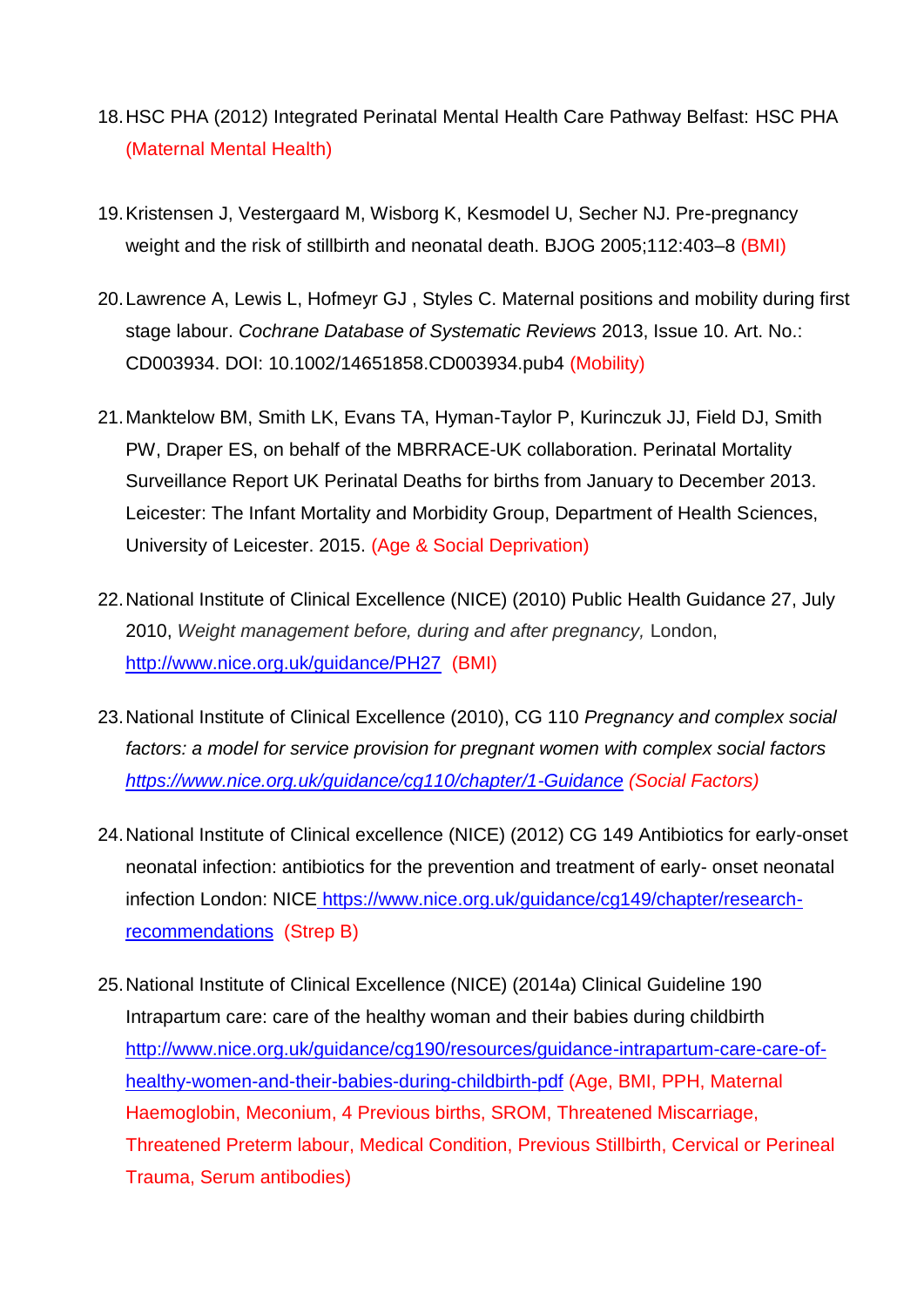- 18.HSC PHA (2012) Integrated Perinatal Mental Health Care Pathway Belfast: HSC PHA (Maternal Mental Health)
- 19.Kristensen J, Vestergaard M, Wisborg K, Kesmodel U, Secher NJ. Pre-pregnancy weight and the risk of stillbirth and neonatal death. BJOG 2005;112:403-8 (BMI)
- 20.Lawrence A, Lewis L, Hofmeyr GJ , Styles C. Maternal positions and mobility during first stage labour. *Cochrane Database of Systematic Reviews* 2013, Issue 10. Art. No.: CD003934. DOI: 10.1002/14651858.CD003934.pub4 (Mobility)
- 21.Manktelow BM, Smith LK, Evans TA, Hyman-Taylor P, Kurinczuk JJ, Field DJ, Smith PW, Draper ES, on behalf of the MBRRACE-UK collaboration. Perinatal Mortality Surveillance Report UK Perinatal Deaths for births from January to December 2013. Leicester: The Infant Mortality and Morbidity Group, Department of Health Sciences, University of Leicester. 2015. (Age & Social Deprivation)
- 22.National Institute of Clinical Excellence (NICE) (2010) Public Health Guidance 27, July 2010, *Weight management before, during and after pregnancy,* London, <http://www.nice.org.uk/guidance/PH27>(BMI)
- 23.National Institute of Clinical Excellence (2010), CG 110 *Pregnancy and complex social factors: a model for service provision for pregnant women with complex social factors <https://www.nice.org.uk/guidance/cg110/chapter/1-Guidance> (Social Factors)*
- 24.National Institute of Clinical excellence (NICE) (2012) CG 149 Antibiotics for early-onset neonatal infection: antibiotics for the prevention and treatment of early- onset neonatal infection London: NICE [https://www.nice.org.uk/guidance/cg149/chapter/research](https://www.nice.org.uk/guidance/cg149/chapter/research-recommendations)[recommendations](https://www.nice.org.uk/guidance/cg149/chapter/research-recommendations) (Strep B)
- 25.National Institute of Clinical Excellence (NICE) (2014a) Clinical Guideline 190 Intrapartum care: care of the healthy woman and their babies during childbirth [http://www.nice.org.uk/guidance/cg190/resources/guidance-intrapartum-care-care-of](http://www.nice.org.uk/guidance/cg190/resources/guidance-intrapartum-care-care-of-healthy-women-and-their-babies-during-childbirth-pdf)[healthy-women-and-their-babies-during-childbirth-pdf](http://www.nice.org.uk/guidance/cg190/resources/guidance-intrapartum-care-care-of-healthy-women-and-their-babies-during-childbirth-pdf) (Age, BMI, PPH, Maternal Haemoglobin, Meconium, 4 Previous births, SROM, Threatened Miscarriage, Threatened Preterm labour, Medical Condition, Previous Stillbirth, Cervical or Perineal Trauma, Serum antibodies)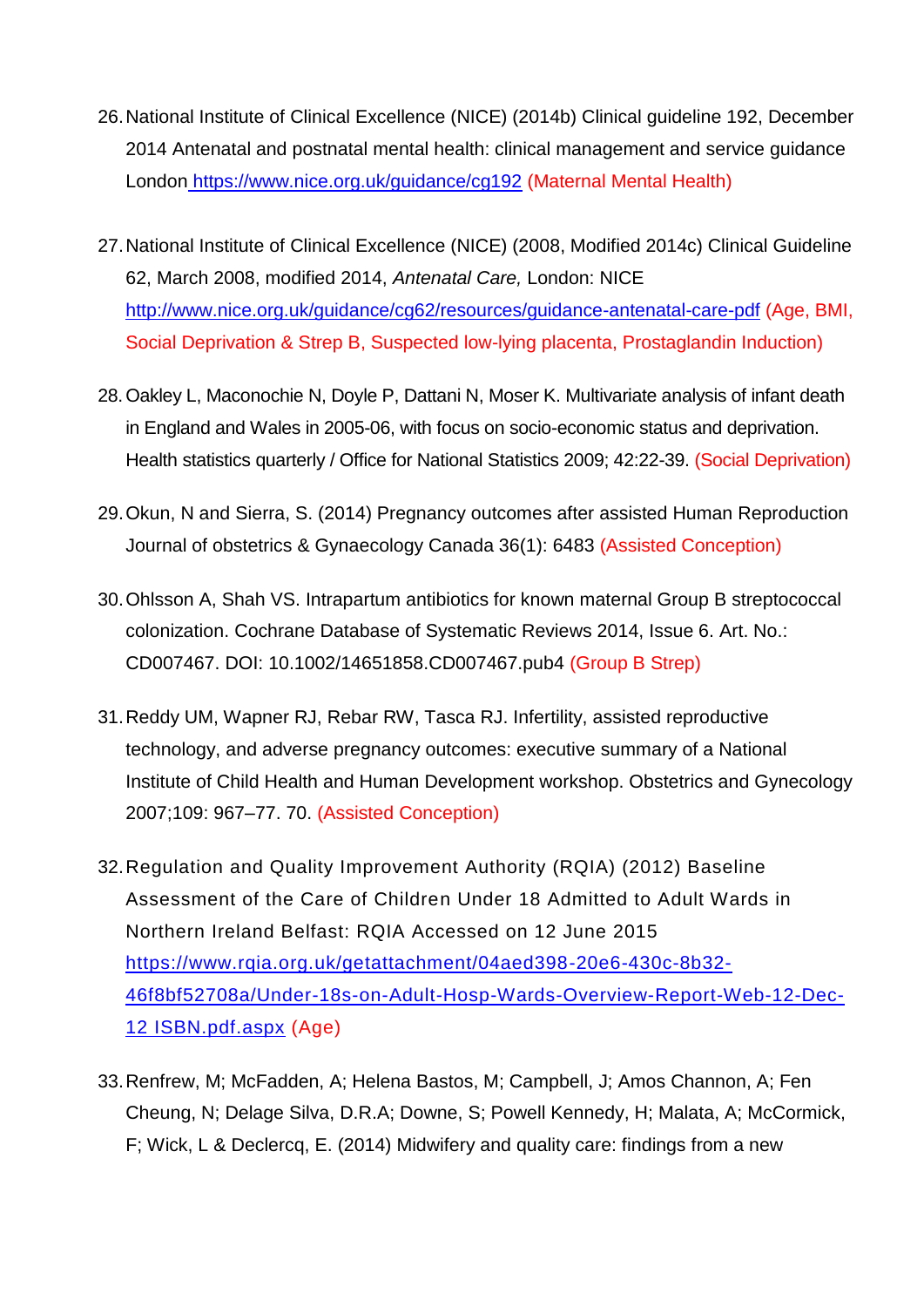- 26.National Institute of Clinical Excellence (NICE) (2014b) Clinical guideline 192, December 2014 Antenatal and postnatal mental health: clinical management and service guidance London <https://www.nice.org.uk/guidance/cg192> (Maternal Mental Health)
- 27.National Institute of Clinical Excellence (NICE) (2008, Modified 2014c) Clinical Guideline 62, March 2008, modified 2014, *Antenatal Care,* London: NICE <http://www.nice.org.uk/guidance/cg62/resources/guidance-antenatal-care-pdf> (Age, BMI, Social Deprivation & Strep B, Suspected low-lying placenta, Prostaglandin Induction)
- 28.Oakley L, Maconochie N, Doyle P, Dattani N, Moser K. Multivariate analysis of infant death in England and Wales in 2005-06, with focus on socio-economic status and deprivation. Health statistics quarterly / Office for National Statistics 2009; 42:22-39. (Social Deprivation)
- 29.Okun, N and Sierra, S. (2014) Pregnancy outcomes after assisted Human Reproduction Journal of obstetrics & Gynaecology Canada 36(1): 6483 (Assisted Conception)
- 30.Ohlsson A, Shah VS. Intrapartum antibiotics for known maternal Group B streptococcal colonization. Cochrane Database of Systematic Reviews 2014, Issue 6. Art. No.: CD007467. DOI: 10.1002/14651858.CD007467.pub4 (Group B Strep)
- 31.Reddy UM, Wapner RJ, Rebar RW, Tasca RJ. Infertility, assisted reproductive technology, and adverse pregnancy outcomes: executive summary of a National Institute of Child Health and Human Development workshop. Obstetrics and Gynecology 2007;109: 967–77. 70. (Assisted Conception)
- 32.Regulation and Quality Improvement Authority (RQIA) (2012) Baseline Assessment of the Care of Children Under 18 Admitted to Adult Wards in Northern Ireland Belfast: RQIA Accessed on 12 June 2015 [https://www.rqia.org.uk/getattachment/04aed398-20e6-430c-8b32-](https://www.rqia.org.uk/getattachment/04aed398-20e6-430c-8b32-46f8bf52708a/Under-18s-on-Adult-Hosp-Wards-Overview-Report-Web-12-Dec-12) [46f8bf52708a/Under-18s-on-Adult-Hosp-Wards-Overview-Report-Web-12-Dec-](https://www.rqia.org.uk/getattachment/04aed398-20e6-430c-8b32-46f8bf52708a/Under-18s-on-Adult-Hosp-Wards-Overview-Report-Web-12-Dec-12)[12](https://www.rqia.org.uk/getattachment/04aed398-20e6-430c-8b32-46f8bf52708a/Under-18s-on-Adult-Hosp-Wards-Overview-Report-Web-12-Dec-12) ISBN.pdf.aspx (Age)
- 33.Renfrew, M; McFadden, A; Helena Bastos, M; Campbell, J; Amos Channon, A; Fen Cheung, N; Delage Silva, D.R.A; Downe, S; Powell Kennedy, H; Malata, A; McCormick, F; Wick, L & Declercq, E. (2014) Midwifery and quality care: findings from a new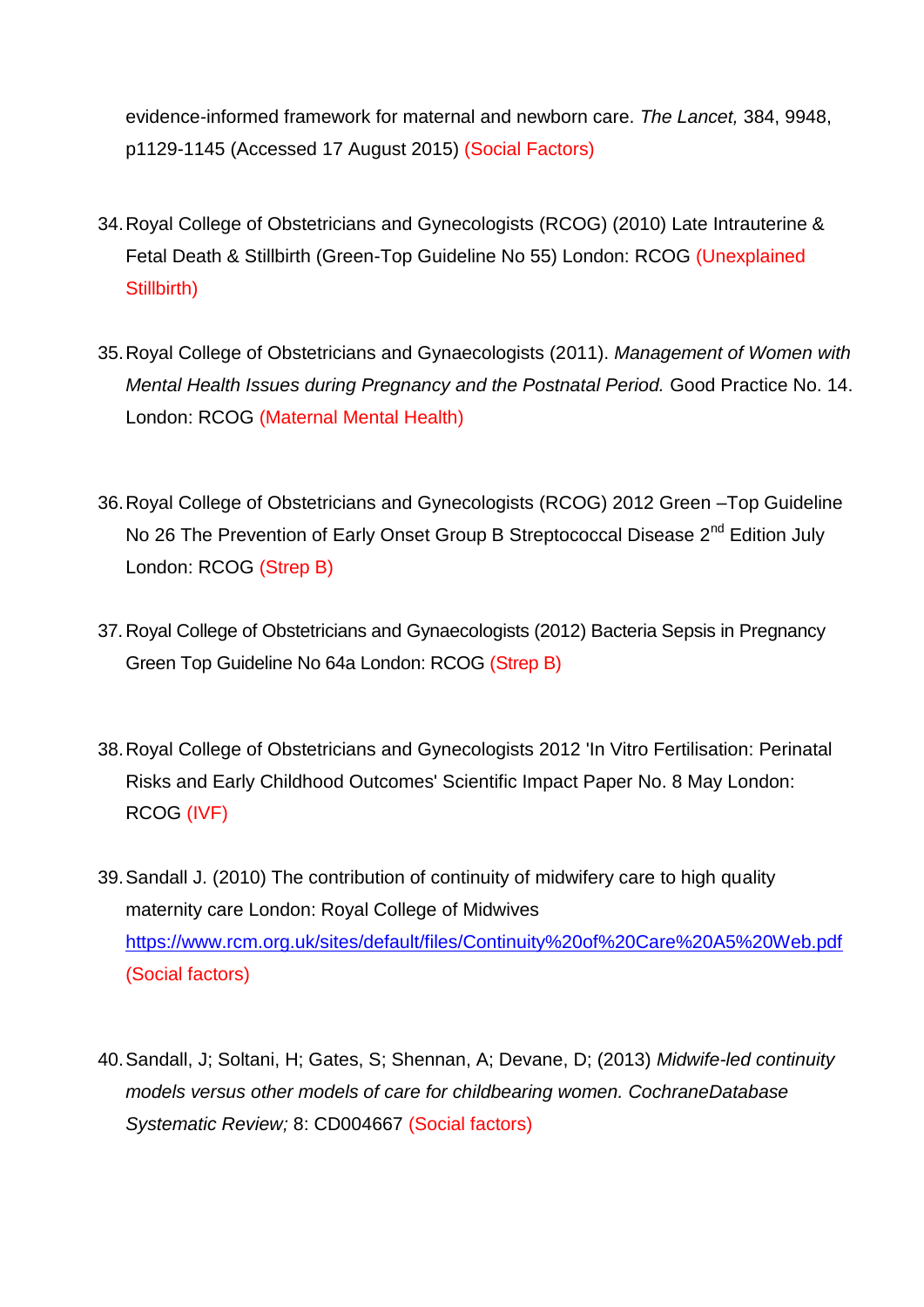evidence-informed framework for maternal and newborn care. *The Lancet,* 384, 9948, p1129-1145 (Accessed 17 August 2015) (Social Factors)

- 34.Royal College of Obstetricians and Gynecologists (RCOG) (2010) Late Intrauterine & Fetal Death & Stillbirth (Green-Top Guideline No 55) London: RCOG (Unexplained Stillbirth)
- 35.Royal College of Obstetricians and Gynaecologists (2011). *Management of Women with Mental Health Issues during Pregnancy and the Postnatal Period.* Good Practice No. 14. London: RCOG (Maternal Mental Health)
- 36.Royal College of Obstetricians and Gynecologists (RCOG) 2012 Green –Top Guideline No 26 The Prevention of Early Onset Group B Streptococcal Disease 2<sup>nd</sup> Edition July London: RCOG (Strep B)
- 37.Royal College of Obstetricians and Gynaecologists (2012) Bacteria Sepsis in Pregnancy Green Top Guideline No 64a London: RCOG (Strep B)
- 38.Royal College of Obstetricians and Gynecologists 2012 'In Vitro Fertilisation: Perinatal Risks and Early Childhood Outcomes' Scientific Impact Paper No. 8 May London: RCOG (IVF)
- 39.Sandall J. (2010) The contribution of continuity of midwifery care to high quality maternity care London: Royal College of Midwives [https://www.rcm.org.uk/sites/default/files/Continuity%20of%20Care%20A5%20Web.pdf](https://www.rcm.org.uk/sites/default/files/Continuity%2520of%2520Care%2520A5%2520Web.pdf) (Social factors)
- 40.Sandall, J; Soltani, H; Gates, S; Shennan, A; Devane, D; (2013) *Midwife-led continuity models versus other models of care for childbearing women. CochraneDatabase Systematic Review;* 8: CD004667 (Social factors)